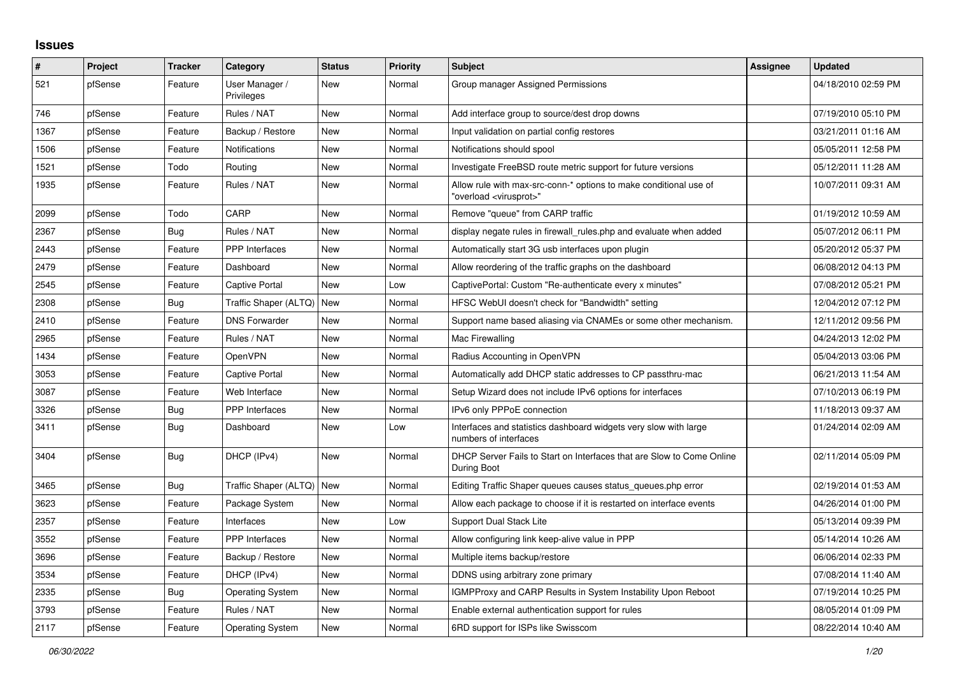## **Issues**

| #    | Project | <b>Tracker</b> | Category                     | <b>Status</b> | <b>Priority</b> | <b>Subject</b>                                                                                          | Assignee | <b>Updated</b>      |
|------|---------|----------------|------------------------------|---------------|-----------------|---------------------------------------------------------------------------------------------------------|----------|---------------------|
| 521  | pfSense | Feature        | User Manager /<br>Privileges | New           | Normal          | Group manager Assigned Permissions                                                                      |          | 04/18/2010 02:59 PM |
| 746  | pfSense | Feature        | Rules / NAT                  | New           | Normal          | Add interface group to source/dest drop downs                                                           |          | 07/19/2010 05:10 PM |
| 1367 | pfSense | Feature        | Backup / Restore             | New           | Normal          | Input validation on partial config restores                                                             |          | 03/21/2011 01:16 AM |
| 1506 | pfSense | Feature        | Notifications                | New           | Normal          | Notifications should spool                                                                              |          | 05/05/2011 12:58 PM |
| 1521 | pfSense | Todo           | Routing                      | New           | Normal          | Investigate FreeBSD route metric support for future versions                                            |          | 05/12/2011 11:28 AM |
| 1935 | pfSense | Feature        | Rules / NAT                  | New           | Normal          | Allow rule with max-src-conn-* options to make conditional use of<br>'overload <virusprot>"</virusprot> |          | 10/07/2011 09:31 AM |
| 2099 | pfSense | Todo           | CARP                         | New           | Normal          | Remove "queue" from CARP traffic                                                                        |          | 01/19/2012 10:59 AM |
| 2367 | pfSense | <b>Bug</b>     | Rules / NAT                  | New           | Normal          | display negate rules in firewall rules php and evaluate when added                                      |          | 05/07/2012 06:11 PM |
| 2443 | pfSense | Feature        | <b>PPP</b> Interfaces        | New           | Normal          | Automatically start 3G usb interfaces upon plugin                                                       |          | 05/20/2012 05:37 PM |
| 2479 | pfSense | Feature        | Dashboard                    | New           | Normal          | Allow reordering of the traffic graphs on the dashboard                                                 |          | 06/08/2012 04:13 PM |
| 2545 | pfSense | Feature        | Captive Portal               | New           | Low             | CaptivePortal: Custom "Re-authenticate every x minutes"                                                 |          | 07/08/2012 05:21 PM |
| 2308 | pfSense | Bug            | Traffic Shaper (ALTQ)        | <b>New</b>    | Normal          | HFSC WebUI doesn't check for "Bandwidth" setting                                                        |          | 12/04/2012 07:12 PM |
| 2410 | pfSense | Feature        | <b>DNS Forwarder</b>         | New           | Normal          | Support name based aliasing via CNAMEs or some other mechanism.                                         |          | 12/11/2012 09:56 PM |
| 2965 | pfSense | Feature        | Rules / NAT                  | New           | Normal          | Mac Firewalling                                                                                         |          | 04/24/2013 12:02 PM |
| 1434 | pfSense | Feature        | OpenVPN                      | New           | Normal          | Radius Accounting in OpenVPN                                                                            |          | 05/04/2013 03:06 PM |
| 3053 | pfSense | Feature        | Captive Portal               | New           | Normal          | Automatically add DHCP static addresses to CP passthru-mac                                              |          | 06/21/2013 11:54 AM |
| 3087 | pfSense | Feature        | Web Interface                | New           | Normal          | Setup Wizard does not include IPv6 options for interfaces                                               |          | 07/10/2013 06:19 PM |
| 3326 | pfSense | Bug            | PPP Interfaces               | New           | Normal          | IPv6 only PPPoE connection                                                                              |          | 11/18/2013 09:37 AM |
| 3411 | pfSense | Bug            | Dashboard                    | New           | Low             | Interfaces and statistics dashboard widgets very slow with large<br>numbers of interfaces               |          | 01/24/2014 02:09 AM |
| 3404 | pfSense | <b>Bug</b>     | DHCP (IPv4)                  | New           | Normal          | DHCP Server Fails to Start on Interfaces that are Slow to Come Online<br>During Boot                    |          | 02/11/2014 05:09 PM |
| 3465 | pfSense | Bug            | Traffic Shaper (ALTQ)        | New           | Normal          | Editing Traffic Shaper queues causes status_queues.php error                                            |          | 02/19/2014 01:53 AM |
| 3623 | pfSense | Feature        | Package System               | New           | Normal          | Allow each package to choose if it is restarted on interface events                                     |          | 04/26/2014 01:00 PM |
| 2357 | pfSense | Feature        | Interfaces                   | New           | Low             | <b>Support Dual Stack Lite</b>                                                                          |          | 05/13/2014 09:39 PM |
| 3552 | pfSense | Feature        | PPP Interfaces               | New           | Normal          | Allow configuring link keep-alive value in PPP                                                          |          | 05/14/2014 10:26 AM |
| 3696 | pfSense | Feature        | Backup / Restore             | New           | Normal          | Multiple items backup/restore                                                                           |          | 06/06/2014 02:33 PM |
| 3534 | pfSense | Feature        | DHCP (IPv4)                  | New           | Normal          | DDNS using arbitrary zone primary                                                                       |          | 07/08/2014 11:40 AM |
| 2335 | pfSense | <b>Bug</b>     | <b>Operating System</b>      | New           | Normal          | <b>IGMPProxy and CARP Results in System Instability Upon Reboot</b>                                     |          | 07/19/2014 10:25 PM |
| 3793 | pfSense | Feature        | Rules / NAT                  | New           | Normal          | Enable external authentication support for rules                                                        |          | 08/05/2014 01:09 PM |
| 2117 | pfSense | Feature        | <b>Operating System</b>      | New           | Normal          | 6RD support for ISPs like Swisscom                                                                      |          | 08/22/2014 10:40 AM |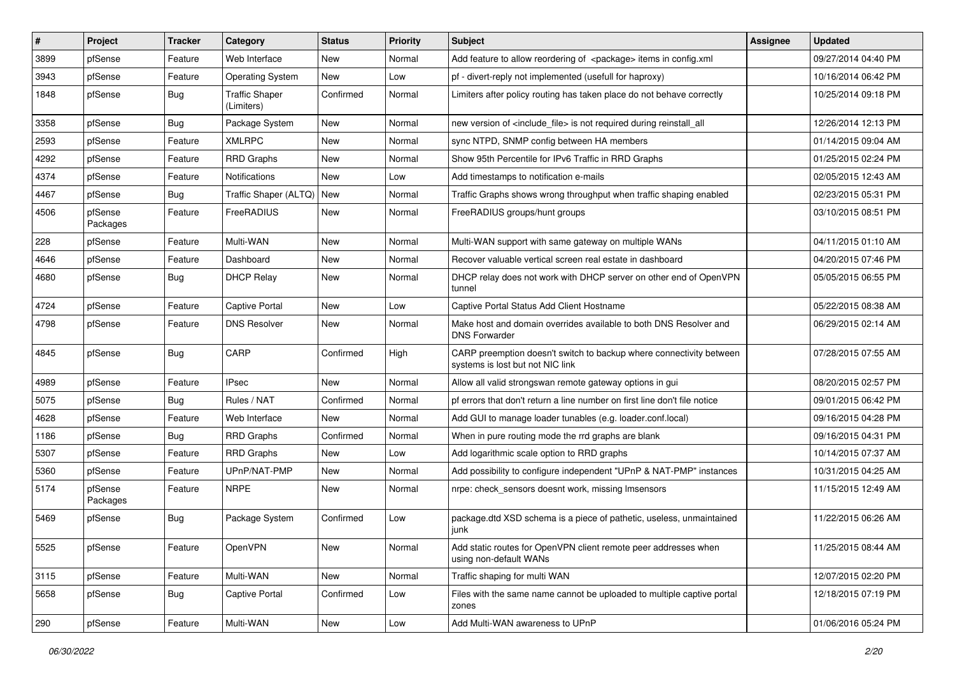| $\vert$ # | Project             | <b>Tracker</b> | Category                            | <b>Status</b> | <b>Priority</b> | Subject                                                                                                 | Assignee | <b>Updated</b>      |
|-----------|---------------------|----------------|-------------------------------------|---------------|-----------------|---------------------------------------------------------------------------------------------------------|----------|---------------------|
| 3899      | pfSense             | Feature        | Web Interface                       | New           | Normal          | Add feature to allow reordering of <package> items in config.xml</package>                              |          | 09/27/2014 04:40 PM |
| 3943      | pfSense             | Feature        | <b>Operating System</b>             | <b>New</b>    | Low             | pf - divert-reply not implemented (usefull for haproxy)                                                 |          | 10/16/2014 06:42 PM |
| 1848      | pfSense             | Bug            | <b>Traffic Shaper</b><br>(Limiters) | Confirmed     | Normal          | Limiters after policy routing has taken place do not behave correctly                                   |          | 10/25/2014 09:18 PM |
| 3358      | pfSense             | Bug            | Package System                      | <b>New</b>    | Normal          | new version of <include_file> is not required during reinstall_all</include_file>                       |          | 12/26/2014 12:13 PM |
| 2593      | pfSense             | Feature        | <b>XMLRPC</b>                       | <b>New</b>    | Normal          | sync NTPD, SNMP config between HA members                                                               |          | 01/14/2015 09:04 AM |
| 4292      | pfSense             | Feature        | <b>RRD Graphs</b>                   | New           | Normal          | Show 95th Percentile for IPv6 Traffic in RRD Graphs                                                     |          | 01/25/2015 02:24 PM |
| 4374      | pfSense             | Feature        | Notifications                       | <b>New</b>    | Low             | Add timestamps to notification e-mails                                                                  |          | 02/05/2015 12:43 AM |
| 4467      | pfSense             | Bug            | Traffic Shaper (ALTQ)               | New           | Normal          | Traffic Graphs shows wrong throughput when traffic shaping enabled                                      |          | 02/23/2015 05:31 PM |
| 4506      | pfSense<br>Packages | Feature        | FreeRADIUS                          | <b>New</b>    | Normal          | FreeRADIUS groups/hunt groups                                                                           |          | 03/10/2015 08:51 PM |
| 228       | pfSense             | Feature        | Multi-WAN                           | <b>New</b>    | Normal          | Multi-WAN support with same gateway on multiple WANs                                                    |          | 04/11/2015 01:10 AM |
| 4646      | pfSense             | Feature        | Dashboard                           | <b>New</b>    | Normal          | Recover valuable vertical screen real estate in dashboard                                               |          | 04/20/2015 07:46 PM |
| 4680      | pfSense             | <b>Bug</b>     | <b>DHCP Relay</b>                   | New           | Normal          | DHCP relay does not work with DHCP server on other end of OpenVPN<br>tunnel                             |          | 05/05/2015 06:55 PM |
| 4724      | pfSense             | Feature        | Captive Portal                      | <b>New</b>    | Low             | Captive Portal Status Add Client Hostname                                                               |          | 05/22/2015 08:38 AM |
| 4798      | pfSense             | Feature        | <b>DNS Resolver</b>                 | New           | Normal          | Make host and domain overrides available to both DNS Resolver and<br><b>DNS Forwarder</b>               |          | 06/29/2015 02:14 AM |
| 4845      | pfSense             | <b>Bug</b>     | CARP                                | Confirmed     | High            | CARP preemption doesn't switch to backup where connectivity between<br>systems is lost but not NIC link |          | 07/28/2015 07:55 AM |
| 4989      | pfSense             | Feature        | <b>IPsec</b>                        | <b>New</b>    | Normal          | Allow all valid strongswan remote gateway options in gui                                                |          | 08/20/2015 02:57 PM |
| 5075      | pfSense             | <b>Bug</b>     | Rules / NAT                         | Confirmed     | Normal          | pf errors that don't return a line number on first line don't file notice                               |          | 09/01/2015 06:42 PM |
| 4628      | pfSense             | Feature        | Web Interface                       | New           | Normal          | Add GUI to manage loader tunables (e.g. loader.conf.local)                                              |          | 09/16/2015 04:28 PM |
| 1186      | pfSense             | Bug            | <b>RRD Graphs</b>                   | Confirmed     | Normal          | When in pure routing mode the rrd graphs are blank                                                      |          | 09/16/2015 04:31 PM |
| 5307      | pfSense             | Feature        | <b>RRD Graphs</b>                   | New           | Low             | Add logarithmic scale option to RRD graphs                                                              |          | 10/14/2015 07:37 AM |
| 5360      | pfSense             | Feature        | UPnP/NAT-PMP                        | <b>New</b>    | Normal          | Add possibility to configure independent "UPnP & NAT-PMP" instances                                     |          | 10/31/2015 04:25 AM |
| 5174      | pfSense<br>Packages | Feature        | <b>NRPE</b>                         | New           | Normal          | nrpe: check sensors doesnt work, missing Imsensors                                                      |          | 11/15/2015 12:49 AM |
| 5469      | pfSense             | <b>Bug</b>     | Package System                      | Confirmed     | Low             | package.dtd XSD schema is a piece of pathetic, useless, unmaintained<br>junk                            |          | 11/22/2015 06:26 AM |
| 5525      | pfSense             | Feature        | OpenVPN                             | New           | Normal          | Add static routes for OpenVPN client remote peer addresses when<br>using non-default WANs               |          | 11/25/2015 08:44 AM |
| 3115      | pfSense             | Feature        | Multi-WAN                           | New           | Normal          | Traffic shaping for multi WAN                                                                           |          | 12/07/2015 02:20 PM |
| 5658      | pfSense             | Bug            | <b>Captive Portal</b>               | Confirmed     | Low             | Files with the same name cannot be uploaded to multiple captive portal<br>zones                         |          | 12/18/2015 07:19 PM |
| 290       | pfSense             | Feature        | Multi-WAN                           | New           | Low             | Add Multi-WAN awareness to UPnP                                                                         |          | 01/06/2016 05:24 PM |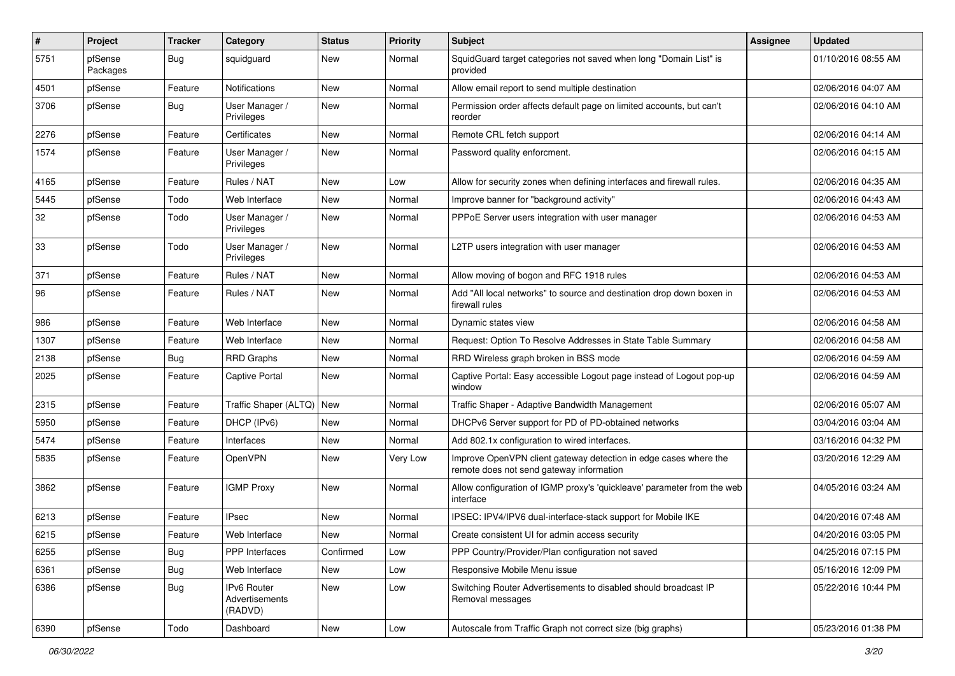| $\sharp$ | Project             | <b>Tracker</b> | Category                                 | <b>Status</b> | <b>Priority</b> | <b>Subject</b>                                                                                               | <b>Assignee</b> | <b>Updated</b>      |
|----------|---------------------|----------------|------------------------------------------|---------------|-----------------|--------------------------------------------------------------------------------------------------------------|-----------------|---------------------|
| 5751     | pfSense<br>Packages | <b>Bug</b>     | squidguard                               | New           | Normal          | SquidGuard target categories not saved when long "Domain List" is<br>provided                                |                 | 01/10/2016 08:55 AM |
| 4501     | pfSense             | Feature        | Notifications                            | New           | Normal          | Allow email report to send multiple destination                                                              |                 | 02/06/2016 04:07 AM |
| 3706     | pfSense             | <b>Bug</b>     | User Manager /<br>Privileges             | New           | Normal          | Permission order affects default page on limited accounts, but can't<br>reorder                              |                 | 02/06/2016 04:10 AM |
| 2276     | pfSense             | Feature        | Certificates                             | <b>New</b>    | Normal          | Remote CRL fetch support                                                                                     |                 | 02/06/2016 04:14 AM |
| 1574     | pfSense             | Feature        | User Manager /<br>Privileges             | New           | Normal          | Password quality enforcment.                                                                                 |                 | 02/06/2016 04:15 AM |
| 4165     | pfSense             | Feature        | Rules / NAT                              | New           | Low             | Allow for security zones when defining interfaces and firewall rules.                                        |                 | 02/06/2016 04:35 AM |
| 5445     | pfSense             | Todo           | Web Interface                            | <b>New</b>    | Normal          | Improve banner for "background activity"                                                                     |                 | 02/06/2016 04:43 AM |
| 32       | pfSense             | Todo           | User Manager /<br>Privileges             | New           | Normal          | PPPoE Server users integration with user manager                                                             |                 | 02/06/2016 04:53 AM |
| 33       | pfSense             | Todo           | User Manager /<br>Privileges             | <b>New</b>    | Normal          | L2TP users integration with user manager                                                                     |                 | 02/06/2016 04:53 AM |
| 371      | pfSense             | Feature        | Rules / NAT                              | New           | Normal          | Allow moving of bogon and RFC 1918 rules                                                                     |                 | 02/06/2016 04:53 AM |
| 96       | pfSense             | Feature        | Rules / NAT                              | <b>New</b>    | Normal          | Add "All local networks" to source and destination drop down boxen in<br>firewall rules                      |                 | 02/06/2016 04:53 AM |
| 986      | pfSense             | Feature        | Web Interface                            | <b>New</b>    | Normal          | Dynamic states view                                                                                          |                 | 02/06/2016 04:58 AM |
| 1307     | pfSense             | Feature        | Web Interface                            | New           | Normal          | Request: Option To Resolve Addresses in State Table Summary                                                  |                 | 02/06/2016 04:58 AM |
| 2138     | pfSense             | <b>Bug</b>     | <b>RRD Graphs</b>                        | New           | Normal          | RRD Wireless graph broken in BSS mode                                                                        |                 | 02/06/2016 04:59 AM |
| 2025     | pfSense             | Feature        | <b>Captive Portal</b>                    | <b>New</b>    | Normal          | Captive Portal: Easy accessible Logout page instead of Logout pop-up<br>window                               |                 | 02/06/2016 04:59 AM |
| 2315     | pfSense             | Feature        | Traffic Shaper (ALTQ)   New              |               | Normal          | Traffic Shaper - Adaptive Bandwidth Management                                                               |                 | 02/06/2016 05:07 AM |
| 5950     | pfSense             | Feature        | DHCP (IPv6)                              | <b>New</b>    | Normal          | DHCPv6 Server support for PD of PD-obtained networks                                                         |                 | 03/04/2016 03:04 AM |
| 5474     | pfSense             | Feature        | Interfaces                               | New           | Normal          | Add 802.1x configuration to wired interfaces.                                                                |                 | 03/16/2016 04:32 PM |
| 5835     | pfSense             | Feature        | OpenVPN                                  | New           | Very Low        | Improve OpenVPN client gateway detection in edge cases where the<br>remote does not send gateway information |                 | 03/20/2016 12:29 AM |
| 3862     | pfSense             | Feature        | <b>IGMP Proxy</b>                        | New           | Normal          | Allow configuration of IGMP proxy's 'quickleave' parameter from the web<br>interface                         |                 | 04/05/2016 03:24 AM |
| 6213     | pfSense             | Feature        | <b>IPsec</b>                             | New           | Normal          | IPSEC: IPV4/IPV6 dual-interface-stack support for Mobile IKE                                                 |                 | 04/20/2016 07:48 AM |
| 6215     | pfSense             | Feature        | Web Interface                            | New           | Normal          | Create consistent UI for admin access security                                                               |                 | 04/20/2016 03:05 PM |
| 6255     | pfSense             | Bug            | PPP Interfaces                           | Confirmed     | Low             | PPP Country/Provider/Plan configuration not saved                                                            |                 | 04/25/2016 07:15 PM |
| 6361     | pfSense             | <b>Bug</b>     | Web Interface                            | New           | Low             | Responsive Mobile Menu issue                                                                                 |                 | 05/16/2016 12:09 PM |
| 6386     | pfSense             | <b>Bug</b>     | IPv6 Router<br>Advertisements<br>(RADVD) | New           | Low             | Switching Router Advertisements to disabled should broadcast IP<br>Removal messages                          |                 | 05/22/2016 10:44 PM |
| 6390     | pfSense             | Todo           | Dashboard                                | New           | Low             | Autoscale from Traffic Graph not correct size (big graphs)                                                   |                 | 05/23/2016 01:38 PM |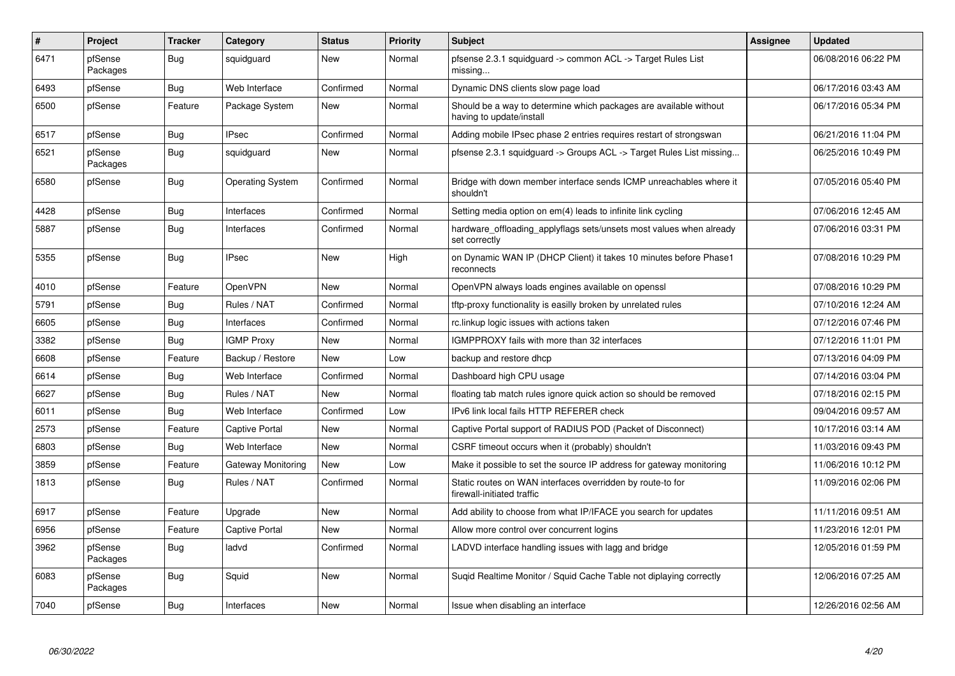| #    | Project             | <b>Tracker</b> | Category                | <b>Status</b> | <b>Priority</b> | <b>Subject</b>                                                                                | <b>Assignee</b> | <b>Updated</b>      |
|------|---------------------|----------------|-------------------------|---------------|-----------------|-----------------------------------------------------------------------------------------------|-----------------|---------------------|
| 6471 | pfSense<br>Packages | <b>Bug</b>     | squidquard              | <b>New</b>    | Normal          | pfsense 2.3.1 squidguard -> common ACL -> Target Rules List<br>missing                        |                 | 06/08/2016 06:22 PM |
| 6493 | pfSense             | Bug            | Web Interface           | Confirmed     | Normal          | Dynamic DNS clients slow page load                                                            |                 | 06/17/2016 03:43 AM |
| 6500 | pfSense             | Feature        | Package System          | <b>New</b>    | Normal          | Should be a way to determine which packages are available without<br>having to update/install |                 | 06/17/2016 05:34 PM |
| 6517 | pfSense             | Bug            | <b>IPsec</b>            | Confirmed     | Normal          | Adding mobile IPsec phase 2 entries requires restart of strongswan                            |                 | 06/21/2016 11:04 PM |
| 6521 | pfSense<br>Packages | Bug            | squidquard              | <b>New</b>    | Normal          | pfsense 2.3.1 squidquard -> Groups ACL -> Target Rules List missing                           |                 | 06/25/2016 10:49 PM |
| 6580 | pfSense             | Bug            | <b>Operating System</b> | Confirmed     | Normal          | Bridge with down member interface sends ICMP unreachables where it<br>shouldn't               |                 | 07/05/2016 05:40 PM |
| 4428 | pfSense             | Bug            | Interfaces              | Confirmed     | Normal          | Setting media option on em(4) leads to infinite link cycling                                  |                 | 07/06/2016 12:45 AM |
| 5887 | pfSense             | <b>Bug</b>     | Interfaces              | Confirmed     | Normal          | hardware_offloading_applyflags sets/unsets most values when already<br>set correctly          |                 | 07/06/2016 03:31 PM |
| 5355 | pfSense             | Bug            | <b>IPsec</b>            | <b>New</b>    | High            | on Dynamic WAN IP (DHCP Client) it takes 10 minutes before Phase1<br>reconnects               |                 | 07/08/2016 10:29 PM |
| 4010 | pfSense             | Feature        | OpenVPN                 | <b>New</b>    | Normal          | OpenVPN always loads engines available on openssl                                             |                 | 07/08/2016 10:29 PM |
| 5791 | pfSense             | <b>Bug</b>     | Rules / NAT             | Confirmed     | Normal          | tftp-proxy functionality is easilly broken by unrelated rules                                 |                 | 07/10/2016 12:24 AM |
| 6605 | pfSense             | Bug            | Interfaces              | Confirmed     | Normal          | rc.linkup logic issues with actions taken                                                     |                 | 07/12/2016 07:46 PM |
| 3382 | pfSense             | Bug            | <b>IGMP Proxy</b>       | <b>New</b>    | Normal          | IGMPPROXY fails with more than 32 interfaces                                                  |                 | 07/12/2016 11:01 PM |
| 6608 | pfSense             | Feature        | Backup / Restore        | <b>New</b>    | Low             | backup and restore dhcp                                                                       |                 | 07/13/2016 04:09 PM |
| 6614 | pfSense             | <b>Bug</b>     | Web Interface           | Confirmed     | Normal          | Dashboard high CPU usage                                                                      |                 | 07/14/2016 03:04 PM |
| 6627 | pfSense             | Bug            | Rules / NAT             | <b>New</b>    | Normal          | floating tab match rules ignore quick action so should be removed                             |                 | 07/18/2016 02:15 PM |
| 6011 | pfSense             | <b>Bug</b>     | Web Interface           | Confirmed     | Low             | IPv6 link local fails HTTP REFERER check                                                      |                 | 09/04/2016 09:57 AM |
| 2573 | pfSense             | Feature        | Captive Portal          | New           | Normal          | Captive Portal support of RADIUS POD (Packet of Disconnect)                                   |                 | 10/17/2016 03:14 AM |
| 6803 | pfSense             | Bug            | Web Interface           | New           | Normal          | CSRF timeout occurs when it (probably) shouldn't                                              |                 | 11/03/2016 09:43 PM |
| 3859 | pfSense             | Feature        | Gateway Monitoring      | <b>New</b>    | Low             | Make it possible to set the source IP address for gateway monitoring                          |                 | 11/06/2016 10:12 PM |
| 1813 | pfSense             | <b>Bug</b>     | Rules / NAT             | Confirmed     | Normal          | Static routes on WAN interfaces overridden by route-to for<br>firewall-initiated traffic      |                 | 11/09/2016 02:06 PM |
| 6917 | pfSense             | Feature        | Upgrade                 | <b>New</b>    | Normal          | Add ability to choose from what IP/IFACE you search for updates                               |                 | 11/11/2016 09:51 AM |
| 6956 | pfSense             | Feature        | <b>Captive Portal</b>   | <b>New</b>    | Normal          | Allow more control over concurrent logins                                                     |                 | 11/23/2016 12:01 PM |
| 3962 | pfSense<br>Packages | <b>Bug</b>     | ladvd                   | Confirmed     | Normal          | LADVD interface handling issues with lagg and bridge                                          |                 | 12/05/2016 01:59 PM |
| 6083 | pfSense<br>Packages | <b>Bug</b>     | Squid                   | <b>New</b>    | Normal          | Sugid Realtime Monitor / Squid Cache Table not diplaying correctly                            |                 | 12/06/2016 07:25 AM |
| 7040 | pfSense             | Bug            | Interfaces              | <b>New</b>    | Normal          | Issue when disabling an interface                                                             |                 | 12/26/2016 02:56 AM |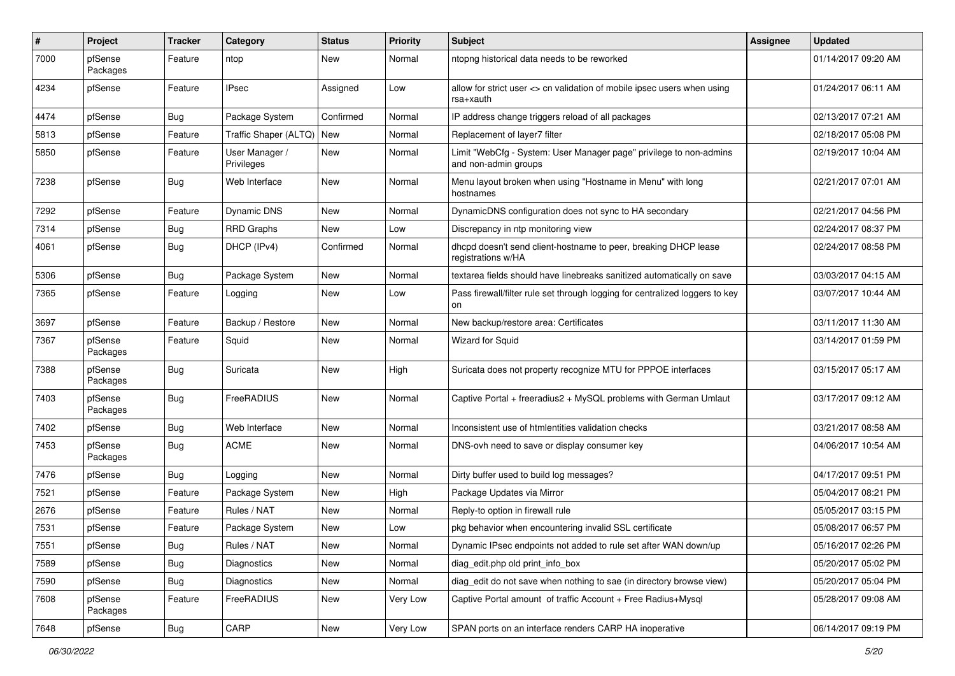| #    | Project             | <b>Tracker</b> | Category                     | <b>Status</b> | <b>Priority</b> | <b>Subject</b>                                                                             | <b>Assignee</b> | <b>Updated</b>      |
|------|---------------------|----------------|------------------------------|---------------|-----------------|--------------------------------------------------------------------------------------------|-----------------|---------------------|
| 7000 | pfSense<br>Packages | Feature        | ntop                         | New           | Normal          | ntopng historical data needs to be reworked                                                |                 | 01/14/2017 09:20 AM |
| 4234 | pfSense             | Feature        | <b>IPsec</b>                 | Assigned      | Low             | allow for strict user <> cn validation of mobile ipsec users when using<br>rsa+xauth       |                 | 01/24/2017 06:11 AM |
| 4474 | pfSense             | <b>Bug</b>     | Package System               | Confirmed     | Normal          | IP address change triggers reload of all packages                                          |                 | 02/13/2017 07:21 AM |
| 5813 | pfSense             | Feature        | Traffic Shaper (ALTQ)        | New           | Normal          | Replacement of layer7 filter                                                               |                 | 02/18/2017 05:08 PM |
| 5850 | pfSense             | Feature        | User Manager /<br>Privileges | New           | Normal          | Limit "WebCfg - System: User Manager page" privilege to non-admins<br>and non-admin groups |                 | 02/19/2017 10:04 AM |
| 7238 | pfSense             | Bug            | Web Interface                | New           | Normal          | Menu layout broken when using "Hostname in Menu" with long<br>hostnames                    |                 | 02/21/2017 07:01 AM |
| 7292 | pfSense             | Feature        | <b>Dynamic DNS</b>           | New           | Normal          | DynamicDNS configuration does not sync to HA secondary                                     |                 | 02/21/2017 04:56 PM |
| 7314 | pfSense             | <b>Bug</b>     | <b>RRD Graphs</b>            | New           | Low             | Discrepancy in ntp monitoring view                                                         |                 | 02/24/2017 08:37 PM |
| 4061 | pfSense             | <b>Bug</b>     | DHCP (IPv4)                  | Confirmed     | Normal          | dhcpd doesn't send client-hostname to peer, breaking DHCP lease<br>registrations w/HA      |                 | 02/24/2017 08:58 PM |
| 5306 | pfSense             | Bug            | Package System               | New           | Normal          | textarea fields should have linebreaks sanitized automatically on save                     |                 | 03/03/2017 04:15 AM |
| 7365 | pfSense             | Feature        | Logging                      | New           | Low             | Pass firewall/filter rule set through logging for centralized loggers to key<br>on         |                 | 03/07/2017 10:44 AM |
| 3697 | pfSense             | Feature        | Backup / Restore             | New           | Normal          | New backup/restore area: Certificates                                                      |                 | 03/11/2017 11:30 AM |
| 7367 | pfSense<br>Packages | Feature        | Squid                        | New           | Normal          | Wizard for Squid                                                                           |                 | 03/14/2017 01:59 PM |
| 7388 | pfSense<br>Packages | <b>Bug</b>     | Suricata                     | New           | High            | Suricata does not property recognize MTU for PPPOE interfaces                              |                 | 03/15/2017 05:17 AM |
| 7403 | pfSense<br>Packages | <b>Bug</b>     | FreeRADIUS                   | New           | Normal          | Captive Portal + freeradius2 + MySQL problems with German Umlaut                           |                 | 03/17/2017 09:12 AM |
| 7402 | pfSense             | <b>Bug</b>     | Web Interface                | New           | Normal          | Inconsistent use of htmlentities validation checks                                         |                 | 03/21/2017 08:58 AM |
| 7453 | pfSense<br>Packages | Bug            | <b>ACME</b>                  | New           | Normal          | DNS-ovh need to save or display consumer key                                               |                 | 04/06/2017 10:54 AM |
| 7476 | pfSense             | Bug            | Logging                      | New           | Normal          | Dirty buffer used to build log messages?                                                   |                 | 04/17/2017 09:51 PM |
| 7521 | pfSense             | Feature        | Package System               | New           | High            | Package Updates via Mirror                                                                 |                 | 05/04/2017 08:21 PM |
| 2676 | pfSense             | Feature        | Rules / NAT                  | New           | Normal          | Reply-to option in firewall rule                                                           |                 | 05/05/2017 03:15 PM |
| 7531 | pfSense             | Feature        | Package System               | New           | Low             | pkg behavior when encountering invalid SSL certificate                                     |                 | 05/08/2017 06:57 PM |
| 7551 | pfSense             | <b>Bug</b>     | Rules / NAT                  | New           | Normal          | Dynamic IPsec endpoints not added to rule set after WAN down/up                            |                 | 05/16/2017 02:26 PM |
| 7589 | pfSense             | <b>Bug</b>     | Diagnostics                  | New           | Normal          | diag edit.php old print info box                                                           |                 | 05/20/2017 05:02 PM |
| 7590 | pfSense             | Bug            | Diagnostics                  | New           | Normal          | diag_edit do not save when nothing to sae (in directory browse view)                       |                 | 05/20/2017 05:04 PM |
| 7608 | pfSense<br>Packages | Feature        | FreeRADIUS                   | New           | Very Low        | Captive Portal amount of traffic Account + Free Radius+Mysql                               |                 | 05/28/2017 09:08 AM |
| 7648 | pfSense             | <b>Bug</b>     | CARP                         | New           | Very Low        | SPAN ports on an interface renders CARP HA inoperative                                     |                 | 06/14/2017 09:19 PM |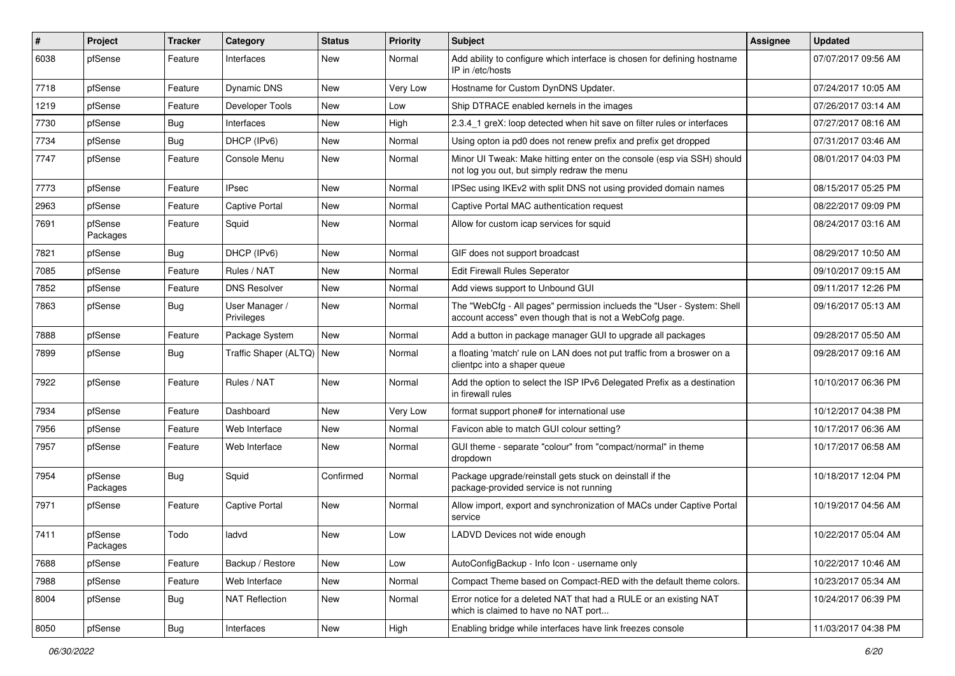| $\vert$ # | Project             | <b>Tracker</b> | Category                     | <b>Status</b> | <b>Priority</b> | Subject                                                                                                                           | Assignee | <b>Updated</b>      |
|-----------|---------------------|----------------|------------------------------|---------------|-----------------|-----------------------------------------------------------------------------------------------------------------------------------|----------|---------------------|
| 6038      | pfSense             | Feature        | Interfaces                   | New           | Normal          | Add ability to configure which interface is chosen for defining hostname<br>IP in /etc/hosts                                      |          | 07/07/2017 09:56 AM |
| 7718      | pfSense             | Feature        | <b>Dynamic DNS</b>           | <b>New</b>    | Very Low        | Hostname for Custom DynDNS Updater.                                                                                               |          | 07/24/2017 10:05 AM |
| 1219      | pfSense             | Feature        | Developer Tools              | <b>New</b>    | Low             | Ship DTRACE enabled kernels in the images                                                                                         |          | 07/26/2017 03:14 AM |
| 7730      | pfSense             | Bug            | Interfaces                   | <b>New</b>    | High            | 2.3.4_1 greX: loop detected when hit save on filter rules or interfaces                                                           |          | 07/27/2017 08:16 AM |
| 7734      | pfSense             | Bug            | DHCP (IPv6)                  | New           | Normal          | Using opton ia pd0 does not renew prefix and prefix get dropped                                                                   |          | 07/31/2017 03:46 AM |
| 7747      | pfSense             | Feature        | Console Menu                 | <b>New</b>    | Normal          | Minor UI Tweak: Make hitting enter on the console (esp via SSH) should<br>not log you out, but simply redraw the menu             |          | 08/01/2017 04:03 PM |
| 7773      | pfSense             | Feature        | <b>IPsec</b>                 | New           | Normal          | IPSec using IKEv2 with split DNS not using provided domain names                                                                  |          | 08/15/2017 05:25 PM |
| 2963      | pfSense             | Feature        | Captive Portal               | <b>New</b>    | Normal          | Captive Portal MAC authentication request                                                                                         |          | 08/22/2017 09:09 PM |
| 7691      | pfSense<br>Packages | Feature        | Squid                        | <b>New</b>    | Normal          | Allow for custom icap services for squid                                                                                          |          | 08/24/2017 03:16 AM |
| 7821      | pfSense             | <b>Bug</b>     | DHCP (IPv6)                  | <b>New</b>    | Normal          | GIF does not support broadcast                                                                                                    |          | 08/29/2017 10:50 AM |
| 7085      | pfSense             | Feature        | Rules / NAT                  | New           | Normal          | Edit Firewall Rules Seperator                                                                                                     |          | 09/10/2017 09:15 AM |
| 7852      | pfSense             | Feature        | <b>DNS Resolver</b>          | <b>New</b>    | Normal          | Add views support to Unbound GUI                                                                                                  |          | 09/11/2017 12:26 PM |
| 7863      | pfSense             | Bug            | User Manager /<br>Privileges | <b>New</b>    | Normal          | The "WebCfg - All pages" permission inclueds the "User - System: Shell<br>account access" even though that is not a WebCofg page. |          | 09/16/2017 05:13 AM |
| 7888      | pfSense             | Feature        | Package System               | New           | Normal          | Add a button in package manager GUI to upgrade all packages                                                                       |          | 09/28/2017 05:50 AM |
| 7899      | pfSense             | Bug            | Traffic Shaper (ALTQ)        | New           | Normal          | a floating 'match' rule on LAN does not put traffic from a broswer on a<br>clientpc into a shaper queue                           |          | 09/28/2017 09:16 AM |
| 7922      | pfSense             | Feature        | Rules / NAT                  | <b>New</b>    | Normal          | Add the option to select the ISP IPv6 Delegated Prefix as a destination<br>in firewall rules                                      |          | 10/10/2017 06:36 PM |
| 7934      | pfSense             | Feature        | Dashboard                    | <b>New</b>    | Very Low        | format support phone# for international use                                                                                       |          | 10/12/2017 04:38 PM |
| 7956      | pfSense             | Feature        | Web Interface                | <b>New</b>    | Normal          | Favicon able to match GUI colour setting?                                                                                         |          | 10/17/2017 06:36 AM |
| 7957      | pfSense             | Feature        | Web Interface                | <b>New</b>    | Normal          | GUI theme - separate "colour" from "compact/normal" in theme<br>dropdown                                                          |          | 10/17/2017 06:58 AM |
| 7954      | pfSense<br>Packages | <b>Bug</b>     | Squid                        | Confirmed     | Normal          | Package upgrade/reinstall gets stuck on deinstall if the<br>package-provided service is not running                               |          | 10/18/2017 12:04 PM |
| 7971      | pfSense             | Feature        | <b>Captive Portal</b>        | <b>New</b>    | Normal          | Allow import, export and synchronization of MACs under Captive Portal<br>service                                                  |          | 10/19/2017 04:56 AM |
| 7411      | pfSense<br>Packages | Todo           | ladvd                        | New           | Low             | LADVD Devices not wide enough                                                                                                     |          | 10/22/2017 05:04 AM |
| 7688      | pfSense             | Feature        | Backup / Restore             | New           | Low             | AutoConfigBackup - Info Icon - username only                                                                                      |          | 10/22/2017 10:46 AM |
| 7988      | pfSense             | Feature        | Web Interface                | New           | Normal          | Compact Theme based on Compact-RED with the default theme colors.                                                                 |          | 10/23/2017 05:34 AM |
| 8004      | pfSense             | <b>Bug</b>     | <b>NAT Reflection</b>        | New           | Normal          | Error notice for a deleted NAT that had a RULE or an existing NAT<br>which is claimed to have no NAT port                         |          | 10/24/2017 06:39 PM |
| 8050      | pfSense             | Bug            | Interfaces                   | New           | High            | Enabling bridge while interfaces have link freezes console                                                                        |          | 11/03/2017 04:38 PM |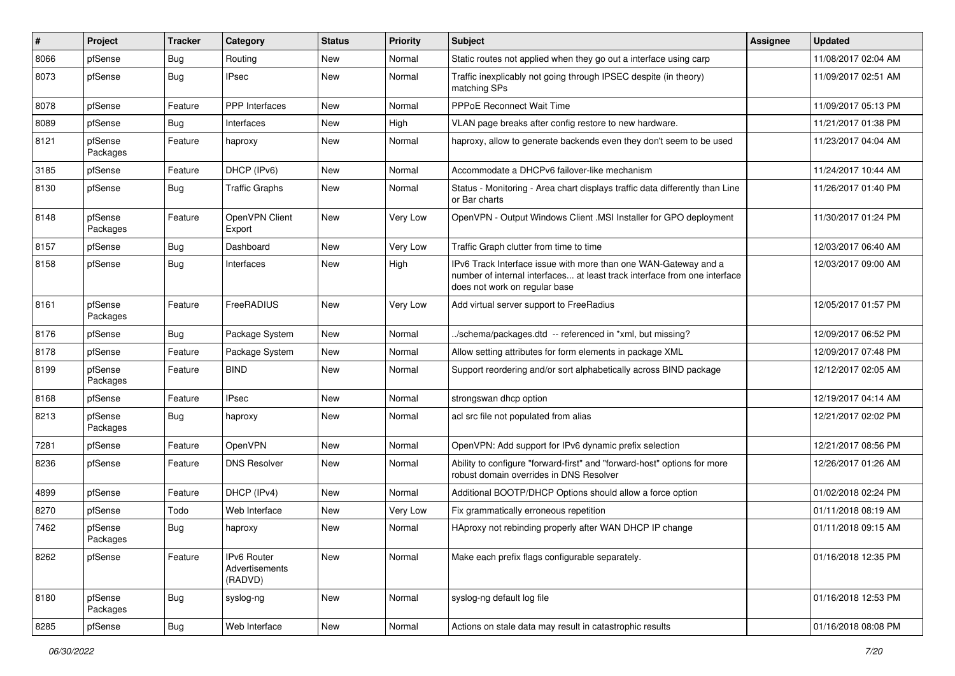| #    | Project             | <b>Tracker</b> | Category                                 | <b>Status</b> | <b>Priority</b> | <b>Subject</b>                                                                                                                                                                | Assignee | <b>Updated</b>      |
|------|---------------------|----------------|------------------------------------------|---------------|-----------------|-------------------------------------------------------------------------------------------------------------------------------------------------------------------------------|----------|---------------------|
| 8066 | pfSense             | Bug            | Routing                                  | New           | Normal          | Static routes not applied when they go out a interface using carp                                                                                                             |          | 11/08/2017 02:04 AM |
| 8073 | pfSense             | <b>Bug</b>     | <b>IPsec</b>                             | New           | Normal          | Traffic inexplicably not going through IPSEC despite (in theory)<br>matching SPs                                                                                              |          | 11/09/2017 02:51 AM |
| 8078 | pfSense             | Feature        | PPP Interfaces                           | New           | Normal          | <b>PPPoE Reconnect Wait Time</b>                                                                                                                                              |          | 11/09/2017 05:13 PM |
| 8089 | pfSense             | <b>Bug</b>     | Interfaces                               | <b>New</b>    | High            | VLAN page breaks after config restore to new hardware.                                                                                                                        |          | 11/21/2017 01:38 PM |
| 8121 | pfSense<br>Packages | Feature        | haproxy                                  | New           | Normal          | haproxy, allow to generate backends even they don't seem to be used                                                                                                           |          | 11/23/2017 04:04 AM |
| 3185 | pfSense             | Feature        | DHCP (IPv6)                              | <b>New</b>    | Normal          | Accommodate a DHCPv6 failover-like mechanism                                                                                                                                  |          | 11/24/2017 10:44 AM |
| 8130 | pfSense             | Bug            | <b>Traffic Graphs</b>                    | New           | Normal          | Status - Monitoring - Area chart displays traffic data differently than Line<br>or Bar charts                                                                                 |          | 11/26/2017 01:40 PM |
| 8148 | pfSense<br>Packages | Feature        | OpenVPN Client<br>Export                 | New           | Very Low        | OpenVPN - Output Windows Client .MSI Installer for GPO deployment                                                                                                             |          | 11/30/2017 01:24 PM |
| 8157 | pfSense             | <b>Bug</b>     | Dashboard                                | New           | Very Low        | Traffic Graph clutter from time to time                                                                                                                                       |          | 12/03/2017 06:40 AM |
| 8158 | pfSense             | Bug            | Interfaces                               | New           | High            | IPv6 Track Interface issue with more than one WAN-Gateway and a<br>number of internal interfaces at least track interface from one interface<br>does not work on regular base |          | 12/03/2017 09:00 AM |
| 8161 | pfSense<br>Packages | Feature        | FreeRADIUS                               | New           | Very Low        | Add virtual server support to FreeRadius                                                                                                                                      |          | 12/05/2017 01:57 PM |
| 8176 | pfSense             | Bug            | Package System                           | <b>New</b>    | Normal          | ./schema/packages.dtd -- referenced in *xml, but missing?                                                                                                                     |          | 12/09/2017 06:52 PM |
| 8178 | pfSense             | Feature        | Package System                           | New           | Normal          | Allow setting attributes for form elements in package XML                                                                                                                     |          | 12/09/2017 07:48 PM |
| 8199 | pfSense<br>Packages | Feature        | <b>BIND</b>                              | New           | Normal          | Support reordering and/or sort alphabetically across BIND package                                                                                                             |          | 12/12/2017 02:05 AM |
| 8168 | pfSense             | Feature        | <b>IPsec</b>                             | New           | Normal          | strongswan dhcp option                                                                                                                                                        |          | 12/19/2017 04:14 AM |
| 8213 | pfSense<br>Packages | Bug            | haproxy                                  | <b>New</b>    | Normal          | acl src file not populated from alias                                                                                                                                         |          | 12/21/2017 02:02 PM |
| 7281 | pfSense             | Feature        | OpenVPN                                  | <b>New</b>    | Normal          | OpenVPN: Add support for IPv6 dynamic prefix selection                                                                                                                        |          | 12/21/2017 08:56 PM |
| 8236 | pfSense             | Feature        | <b>DNS Resolver</b>                      | New           | Normal          | Ability to configure "forward-first" and "forward-host" options for more<br>robust domain overrides in DNS Resolver                                                           |          | 12/26/2017 01:26 AM |
| 4899 | pfSense             | Feature        | DHCP (IPv4)                              | <b>New</b>    | Normal          | Additional BOOTP/DHCP Options should allow a force option                                                                                                                     |          | 01/02/2018 02:24 PM |
| 8270 | pfSense             | Todo           | Web Interface                            | New           | Very Low        | Fix grammatically erroneous repetition                                                                                                                                        |          | 01/11/2018 08:19 AM |
| 7462 | pfSense<br>Packages | Bug            | haproxy                                  | New           | Normal          | HAproxy not rebinding properly after WAN DHCP IP change                                                                                                                       |          | 01/11/2018 09:15 AM |
| 8262 | pfSense             | Feature        | IPv6 Router<br>Advertisements<br>(RADVD) | <b>New</b>    | Normal          | Make each prefix flags configurable separately.                                                                                                                               |          | 01/16/2018 12:35 PM |
| 8180 | pfSense<br>Packages | <b>Bug</b>     | syslog-ng                                | New           | Normal          | syslog-ng default log file                                                                                                                                                    |          | 01/16/2018 12:53 PM |
| 8285 | pfSense             | <b>Bug</b>     | Web Interface                            | New           | Normal          | Actions on stale data may result in catastrophic results                                                                                                                      |          | 01/16/2018 08:08 PM |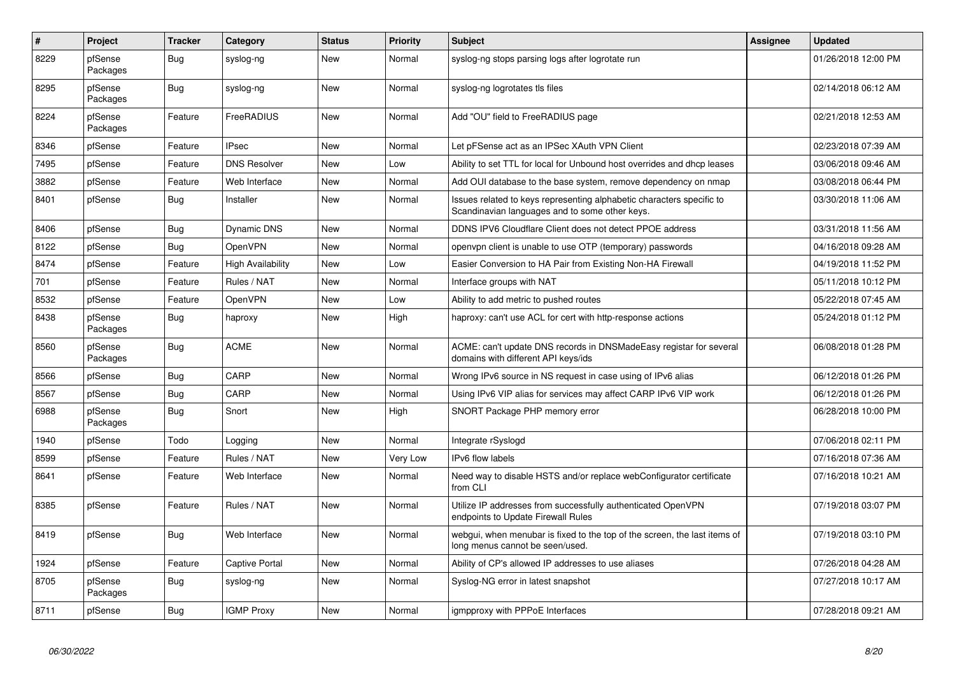| $\pmb{\#}$ | Project             | <b>Tracker</b> | Category              | <b>Status</b> | <b>Priority</b> | <b>Subject</b>                                                                                                          | Assignee | <b>Updated</b>      |
|------------|---------------------|----------------|-----------------------|---------------|-----------------|-------------------------------------------------------------------------------------------------------------------------|----------|---------------------|
| 8229       | pfSense<br>Packages | <b>Bug</b>     | syslog-ng             | <b>New</b>    | Normal          | syslog-ng stops parsing logs after logrotate run                                                                        |          | 01/26/2018 12:00 PM |
| 8295       | pfSense<br>Packages | <b>Bug</b>     | syslog-ng             | <b>New</b>    | Normal          | syslog-ng logrotates tls files                                                                                          |          | 02/14/2018 06:12 AM |
| 8224       | pfSense<br>Packages | Feature        | FreeRADIUS            | New           | Normal          | Add "OU" field to FreeRADIUS page                                                                                       |          | 02/21/2018 12:53 AM |
| 8346       | pfSense             | Feature        | <b>IPsec</b>          | New           | Normal          | Let pFSense act as an IPSec XAuth VPN Client                                                                            |          | 02/23/2018 07:39 AM |
| 7495       | pfSense             | Feature        | <b>DNS Resolver</b>   | <b>New</b>    | Low             | Ability to set TTL for local for Unbound host overrides and dhcp leases                                                 |          | 03/06/2018 09:46 AM |
| 3882       | pfSense             | Feature        | Web Interface         | New           | Normal          | Add OUI database to the base system, remove dependency on nmap                                                          |          | 03/08/2018 06:44 PM |
| 8401       | pfSense             | <b>Bug</b>     | Installer             | <b>New</b>    | Normal          | Issues related to keys representing alphabetic characters specific to<br>Scandinavian languages and to some other keys. |          | 03/30/2018 11:06 AM |
| 8406       | pfSense             | <b>Bug</b>     | Dynamic DNS           | <b>New</b>    | Normal          | DDNS IPV6 Cloudflare Client does not detect PPOE address                                                                |          | 03/31/2018 11:56 AM |
| 8122       | pfSense             | Bug            | OpenVPN               | <b>New</b>    | Normal          | openypn client is unable to use OTP (temporary) passwords                                                               |          | 04/16/2018 09:28 AM |
| 8474       | pfSense             | Feature        | High Availability     | New           | Low             | Easier Conversion to HA Pair from Existing Non-HA Firewall                                                              |          | 04/19/2018 11:52 PM |
| 701        | pfSense             | Feature        | Rules / NAT           | <b>New</b>    | Normal          | Interface groups with NAT                                                                                               |          | 05/11/2018 10:12 PM |
| 8532       | pfSense             | Feature        | <b>OpenVPN</b>        | New           | Low             | Ability to add metric to pushed routes                                                                                  |          | 05/22/2018 07:45 AM |
| 8438       | pfSense<br>Packages | <b>Bug</b>     | haproxy               | <b>New</b>    | High            | haproxy: can't use ACL for cert with http-response actions                                                              |          | 05/24/2018 01:12 PM |
| 8560       | pfSense<br>Packages | <b>Bug</b>     | ACME                  | <b>New</b>    | Normal          | ACME: can't update DNS records in DNSMadeEasy registar for several<br>domains with different API keys/ids               |          | 06/08/2018 01:28 PM |
| 8566       | pfSense             | Bug            | CARP                  | <b>New</b>    | Normal          | Wrong IPv6 source in NS request in case using of IPv6 alias                                                             |          | 06/12/2018 01:26 PM |
| 8567       | pfSense             | Bug            | CARP                  | New           | Normal          | Using IPv6 VIP alias for services may affect CARP IPv6 VIP work                                                         |          | 06/12/2018 01:26 PM |
| 6988       | pfSense<br>Packages | Bug            | Snort                 | New           | High            | SNORT Package PHP memory error                                                                                          |          | 06/28/2018 10:00 PM |
| 1940       | pfSense             | Todo           | Logging               | New           | Normal          | Integrate rSyslogd                                                                                                      |          | 07/06/2018 02:11 PM |
| 8599       | pfSense             | Feature        | Rules / NAT           | <b>New</b>    | Very Low        | <b>IPv6</b> flow labels                                                                                                 |          | 07/16/2018 07:36 AM |
| 8641       | pfSense             | Feature        | Web Interface         | <b>New</b>    | Normal          | Need way to disable HSTS and/or replace webConfigurator certificate<br>from CLI                                         |          | 07/16/2018 10:21 AM |
| 8385       | pfSense             | Feature        | Rules / NAT           | New           | Normal          | Utilize IP addresses from successfully authenticated OpenVPN<br>endpoints to Update Firewall Rules                      |          | 07/19/2018 03:07 PM |
| 8419       | pfSense             | <b>Bug</b>     | Web Interface         | New           | Normal          | webgui, when menubar is fixed to the top of the screen, the last items of<br>long menus cannot be seen/used.            |          | 07/19/2018 03:10 PM |
| 1924       | pfSense             | Feature        | <b>Captive Portal</b> | New           | Normal          | Ability of CP's allowed IP addresses to use aliases                                                                     |          | 07/26/2018 04:28 AM |
| 8705       | pfSense<br>Packages | <b>Bug</b>     | syslog-ng             | New           | Normal          | Syslog-NG error in latest snapshot                                                                                      |          | 07/27/2018 10:17 AM |
| 8711       | pfSense             | <b>Bug</b>     | <b>IGMP Proxy</b>     | New           | Normal          | igmpproxy with PPPoE Interfaces                                                                                         |          | 07/28/2018 09:21 AM |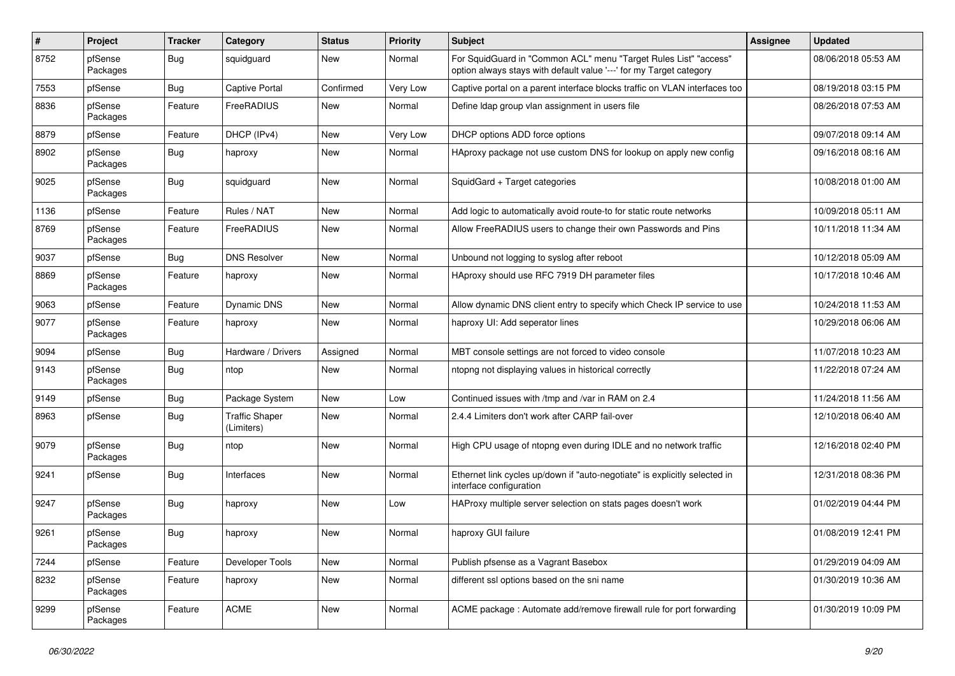| #    | Project             | <b>Tracker</b> | Category                            | <b>Status</b> | <b>Priority</b> | Subject                                                                                                                                 | <b>Assignee</b> | <b>Updated</b>      |
|------|---------------------|----------------|-------------------------------------|---------------|-----------------|-----------------------------------------------------------------------------------------------------------------------------------------|-----------------|---------------------|
| 8752 | pfSense<br>Packages | <b>Bug</b>     | squidguard                          | New           | Normal          | For SquidGuard in "Common ACL" menu "Target Rules List" "access"<br>option always stays with default value '---' for my Target category |                 | 08/06/2018 05:53 AM |
| 7553 | pfSense             | Bug            | <b>Captive Portal</b>               | Confirmed     | Very Low        | Captive portal on a parent interface blocks traffic on VLAN interfaces too                                                              |                 | 08/19/2018 03:15 PM |
| 8836 | pfSense<br>Packages | Feature        | FreeRADIUS                          | <b>New</b>    | Normal          | Define Idap group vlan assignment in users file                                                                                         |                 | 08/26/2018 07:53 AM |
| 8879 | pfSense             | Feature        | DHCP (IPv4)                         | <b>New</b>    | Very Low        | DHCP options ADD force options                                                                                                          |                 | 09/07/2018 09:14 AM |
| 8902 | pfSense<br>Packages | <b>Bug</b>     | haproxy                             | New           | Normal          | HAproxy package not use custom DNS for lookup on apply new config                                                                       |                 | 09/16/2018 08:16 AM |
| 9025 | pfSense<br>Packages | <b>Bug</b>     | squidguard                          | New           | Normal          | SquidGard + Target categories                                                                                                           |                 | 10/08/2018 01:00 AM |
| 1136 | pfSense             | Feature        | Rules / NAT                         | <b>New</b>    | Normal          | Add logic to automatically avoid route-to for static route networks                                                                     |                 | 10/09/2018 05:11 AM |
| 8769 | pfSense<br>Packages | Feature        | FreeRADIUS                          | <b>New</b>    | Normal          | Allow FreeRADIUS users to change their own Passwords and Pins                                                                           |                 | 10/11/2018 11:34 AM |
| 9037 | pfSense             | Bug            | <b>DNS Resolver</b>                 | New           | Normal          | Unbound not logging to syslog after reboot                                                                                              |                 | 10/12/2018 05:09 AM |
| 8869 | pfSense<br>Packages | Feature        | haproxy                             | New           | Normal          | HAproxy should use RFC 7919 DH parameter files                                                                                          |                 | 10/17/2018 10:46 AM |
| 9063 | pfSense             | Feature        | Dynamic DNS                         | <b>New</b>    | Normal          | Allow dynamic DNS client entry to specify which Check IP service to use                                                                 |                 | 10/24/2018 11:53 AM |
| 9077 | pfSense<br>Packages | Feature        | haproxy                             | New           | Normal          | haproxy UI: Add seperator lines                                                                                                         |                 | 10/29/2018 06:06 AM |
| 9094 | pfSense             | Bug            | Hardware / Drivers                  | Assigned      | Normal          | MBT console settings are not forced to video console                                                                                    |                 | 11/07/2018 10:23 AM |
| 9143 | pfSense<br>Packages | <b>Bug</b>     | ntop                                | <b>New</b>    | Normal          | ntopng not displaying values in historical correctly                                                                                    |                 | 11/22/2018 07:24 AM |
| 9149 | pfSense             | <b>Bug</b>     | Package System                      | <b>New</b>    | Low             | Continued issues with /tmp and /var in RAM on 2.4                                                                                       |                 | 11/24/2018 11:56 AM |
| 8963 | pfSense             | <b>Bug</b>     | <b>Traffic Shaper</b><br>(Limiters) | New           | Normal          | 2.4.4 Limiters don't work after CARP fail-over                                                                                          |                 | 12/10/2018 06:40 AM |
| 9079 | pfSense<br>Packages | <b>Bug</b>     | ntop                                | New           | Normal          | High CPU usage of ntopng even during IDLE and no network traffic                                                                        |                 | 12/16/2018 02:40 PM |
| 9241 | pfSense             | <b>Bug</b>     | Interfaces                          | New           | Normal          | Ethernet link cycles up/down if "auto-negotiate" is explicitly selected in<br>interface configuration                                   |                 | 12/31/2018 08:36 PM |
| 9247 | pfSense<br>Packages | <b>Bug</b>     | haproxy                             | <b>New</b>    | Low             | HAProxy multiple server selection on stats pages doesn't work                                                                           |                 | 01/02/2019 04:44 PM |
| 9261 | pfSense<br>Packages | Bug            | haproxy                             | New           | Normal          | haproxy GUI failure                                                                                                                     |                 | 01/08/2019 12:41 PM |
| 7244 | pfSense             | Feature        | Developer Tools                     | New           | Normal          | Publish pfsense as a Vagrant Basebox                                                                                                    |                 | 01/29/2019 04:09 AM |
| 8232 | pfSense<br>Packages | Feature        | haproxy                             | New           | Normal          | different ssl options based on the sni name                                                                                             |                 | 01/30/2019 10:36 AM |
| 9299 | pfSense<br>Packages | Feature        | <b>ACME</b>                         | New           | Normal          | ACME package : Automate add/remove firewall rule for port forwarding                                                                    |                 | 01/30/2019 10:09 PM |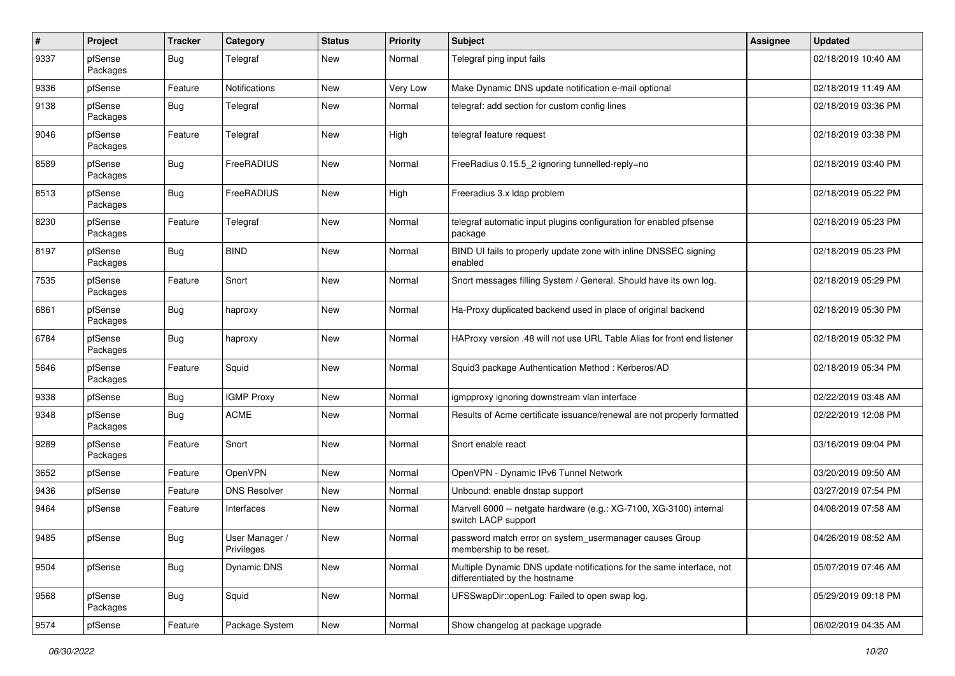| $\sharp$ | Project             | <b>Tracker</b> | Category                     | <b>Status</b> | <b>Priority</b> | <b>Subject</b>                                                                                          | <b>Assignee</b> | <b>Updated</b>      |
|----------|---------------------|----------------|------------------------------|---------------|-----------------|---------------------------------------------------------------------------------------------------------|-----------------|---------------------|
| 9337     | pfSense<br>Packages | Bug            | Telegraf                     | New           | Normal          | Telegraf ping input fails                                                                               |                 | 02/18/2019 10:40 AM |
| 9336     | pfSense             | Feature        | Notifications                | New           | Very Low        | Make Dynamic DNS update notification e-mail optional                                                    |                 | 02/18/2019 11:49 AM |
| 9138     | pfSense<br>Packages | Bug            | Telegraf                     | New           | Normal          | telegraf: add section for custom config lines                                                           |                 | 02/18/2019 03:36 PM |
| 9046     | pfSense<br>Packages | Feature        | Telegraf                     | New           | High            | telegraf feature request                                                                                |                 | 02/18/2019 03:38 PM |
| 8589     | pfSense<br>Packages | <b>Bug</b>     | FreeRADIUS                   | <b>New</b>    | Normal          | FreeRadius 0.15.5_2 ignoring tunnelled-reply=no                                                         |                 | 02/18/2019 03:40 PM |
| 8513     | pfSense<br>Packages | <b>Bug</b>     | FreeRADIUS                   | New           | High            | Freeradius 3.x Idap problem                                                                             |                 | 02/18/2019 05:22 PM |
| 8230     | pfSense<br>Packages | Feature        | Telegraf                     | New           | Normal          | telegraf automatic input plugins configuration for enabled pfsense<br>package                           |                 | 02/18/2019 05:23 PM |
| 8197     | pfSense<br>Packages | Bug            | <b>BIND</b>                  | New           | Normal          | BIND UI fails to properly update zone with inline DNSSEC signing<br>enabled                             |                 | 02/18/2019 05:23 PM |
| 7535     | pfSense<br>Packages | Feature        | Snort                        | <b>New</b>    | Normal          | Snort messages filling System / General. Should have its own log.                                       |                 | 02/18/2019 05:29 PM |
| 6861     | pfSense<br>Packages | <b>Bug</b>     | haproxy                      | New           | Normal          | Ha-Proxy duplicated backend used in place of original backend                                           |                 | 02/18/2019 05:30 PM |
| 6784     | pfSense<br>Packages | <b>Bug</b>     | haproxy                      | <b>New</b>    | Normal          | HAProxy version .48 will not use URL Table Alias for front end listener                                 |                 | 02/18/2019 05:32 PM |
| 5646     | pfSense<br>Packages | Feature        | Squid                        | New           | Normal          | Squid3 package Authentication Method: Kerberos/AD                                                       |                 | 02/18/2019 05:34 PM |
| 9338     | pfSense             | <b>Bug</b>     | <b>IGMP Proxy</b>            | New           | Normal          | igmpproxy ignoring downstream vlan interface                                                            |                 | 02/22/2019 03:48 AM |
| 9348     | pfSense<br>Packages | Bug            | <b>ACME</b>                  | New           | Normal          | Results of Acme certificate issuance/renewal are not properly formatted                                 |                 | 02/22/2019 12:08 PM |
| 9289     | pfSense<br>Packages | Feature        | Snort                        | <b>New</b>    | Normal          | Snort enable react                                                                                      |                 | 03/16/2019 09:04 PM |
| 3652     | pfSense             | Feature        | OpenVPN                      | <b>New</b>    | Normal          | OpenVPN - Dynamic IPv6 Tunnel Network                                                                   |                 | 03/20/2019 09:50 AM |
| 9436     | pfSense             | Feature        | <b>DNS Resolver</b>          | New           | Normal          | Unbound: enable dnstap support                                                                          |                 | 03/27/2019 07:54 PM |
| 9464     | pfSense             | Feature        | Interfaces                   | New           | Normal          | Marvell 6000 -- netgate hardware (e.g.: XG-7100, XG-3100) internal<br>switch LACP support               |                 | 04/08/2019 07:58 AM |
| 9485     | pfSense             | Bug            | User Manager /<br>Privileges | New           | Normal          | password match error on system_usermanager causes Group<br>membership to be reset.                      |                 | 04/26/2019 08:52 AM |
| 9504     | pfSense             | <b>Bug</b>     | Dynamic DNS                  | New           | Normal          | Multiple Dynamic DNS update notifications for the same interface, not<br>differentiated by the hostname |                 | 05/07/2019 07:46 AM |
| 9568     | pfSense<br>Packages | Bug            | Squid                        | New           | Normal          | UFSSwapDir::openLog: Failed to open swap log.                                                           |                 | 05/29/2019 09:18 PM |
| 9574     | pfSense             | Feature        | Package System               | New           | Normal          | Show changelog at package upgrade                                                                       |                 | 06/02/2019 04:35 AM |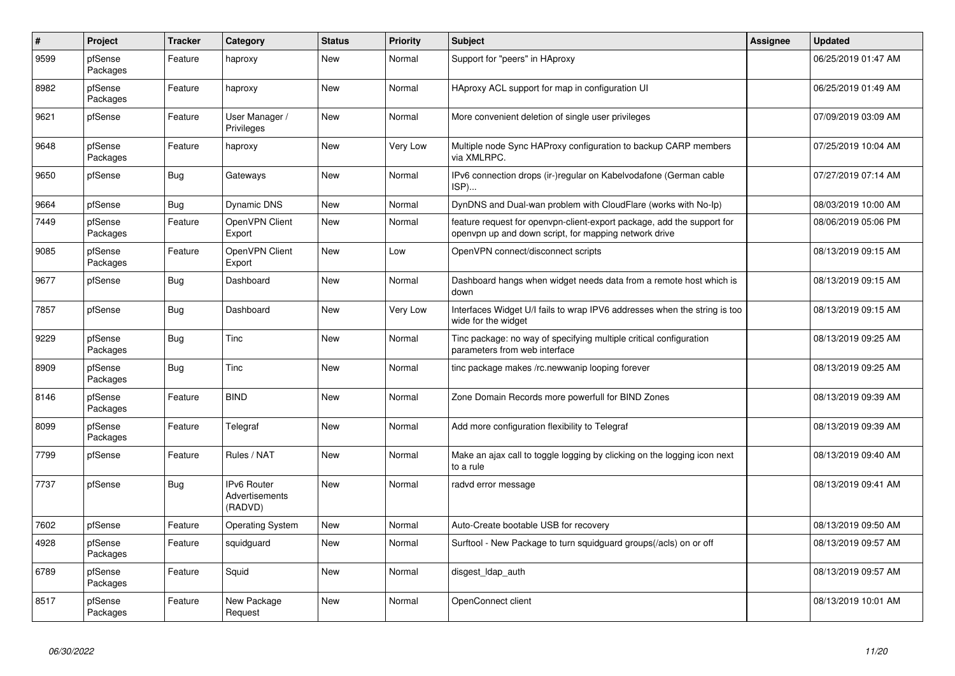| $\pmb{\#}$ | Project             | <b>Tracker</b> | Category                                        | <b>Status</b> | <b>Priority</b> | <b>Subject</b>                                                                                                                  | <b>Assignee</b> | <b>Updated</b>      |
|------------|---------------------|----------------|-------------------------------------------------|---------------|-----------------|---------------------------------------------------------------------------------------------------------------------------------|-----------------|---------------------|
| 9599       | pfSense<br>Packages | Feature        | haproxy                                         | New           | Normal          | Support for "peers" in HAproxy                                                                                                  |                 | 06/25/2019 01:47 AM |
| 8982       | pfSense<br>Packages | Feature        | haproxy                                         | New           | Normal          | HAproxy ACL support for map in configuration UI                                                                                 |                 | 06/25/2019 01:49 AM |
| 9621       | pfSense             | Feature        | User Manager /<br>Privileges                    | New           | Normal          | More convenient deletion of single user privileges                                                                              |                 | 07/09/2019 03:09 AM |
| 9648       | pfSense<br>Packages | Feature        | haproxy                                         | New           | Very Low        | Multiple node Sync HAProxy configuration to backup CARP members<br>via XMLRPC.                                                  |                 | 07/25/2019 10:04 AM |
| 9650       | pfSense             | <b>Bug</b>     | Gateways                                        | New           | Normal          | IPv6 connection drops (ir-)regular on Kabelvodafone (German cable<br>ISP)                                                       |                 | 07/27/2019 07:14 AM |
| 9664       | pfSense             | <b>Bug</b>     | Dynamic DNS                                     | New           | Normal          | DynDNS and Dual-wan problem with CloudFlare (works with No-Ip)                                                                  |                 | 08/03/2019 10:00 AM |
| 7449       | pfSense<br>Packages | Feature        | OpenVPN Client<br>Export                        | New           | Normal          | feature request for openypn-client-export package, add the support for<br>openvpn up and down script, for mapping network drive |                 | 08/06/2019 05:06 PM |
| 9085       | pfSense<br>Packages | Feature        | OpenVPN Client<br>Export                        | New           | Low             | OpenVPN connect/disconnect scripts                                                                                              |                 | 08/13/2019 09:15 AM |
| 9677       | pfSense             | <b>Bug</b>     | Dashboard                                       | New           | Normal          | Dashboard hangs when widget needs data from a remote host which is<br>down                                                      |                 | 08/13/2019 09:15 AM |
| 7857       | pfSense             | Bug            | Dashboard                                       | New           | Very Low        | Interfaces Widget U/I fails to wrap IPV6 addresses when the string is too<br>wide for the widget                                |                 | 08/13/2019 09:15 AM |
| 9229       | pfSense<br>Packages | <b>Bug</b>     | Tinc                                            | New           | Normal          | Tinc package: no way of specifying multiple critical configuration<br>parameters from web interface                             |                 | 08/13/2019 09:25 AM |
| 8909       | pfSense<br>Packages | <b>Bug</b>     | Tinc                                            | New           | Normal          | tinc package makes /rc.newwanip looping forever                                                                                 |                 | 08/13/2019 09:25 AM |
| 8146       | pfSense<br>Packages | Feature        | <b>BIND</b>                                     | New           | Normal          | Zone Domain Records more powerfull for BIND Zones                                                                               |                 | 08/13/2019 09:39 AM |
| 8099       | pfSense<br>Packages | Feature        | Telegraf                                        | New           | Normal          | Add more configuration flexibility to Telegraf                                                                                  |                 | 08/13/2019 09:39 AM |
| 7799       | pfSense             | Feature        | Rules / NAT                                     | New           | Normal          | Make an ajax call to toggle logging by clicking on the logging icon next<br>to a rule                                           |                 | 08/13/2019 09:40 AM |
| 7737       | pfSense             | <b>Bug</b>     | IPv6 Router<br><b>Advertisements</b><br>(RADVD) | New           | Normal          | radvd error message                                                                                                             |                 | 08/13/2019 09:41 AM |
| 7602       | pfSense             | Feature        | <b>Operating System</b>                         | New           | Normal          | Auto-Create bootable USB for recovery                                                                                           |                 | 08/13/2019 09:50 AM |
| 4928       | pfSense<br>Packages | Feature        | squidguard                                      | New           | Normal          | Surftool - New Package to turn squidguard groups(/acls) on or off                                                               |                 | 08/13/2019 09:57 AM |
| 6789       | pfSense<br>Packages | Feature        | Squid                                           | New           | Normal          | disgest Idap auth                                                                                                               |                 | 08/13/2019 09:57 AM |
| 8517       | pfSense<br>Packages | Feature        | New Package<br>Request                          | New           | Normal          | OpenConnect client                                                                                                              |                 | 08/13/2019 10:01 AM |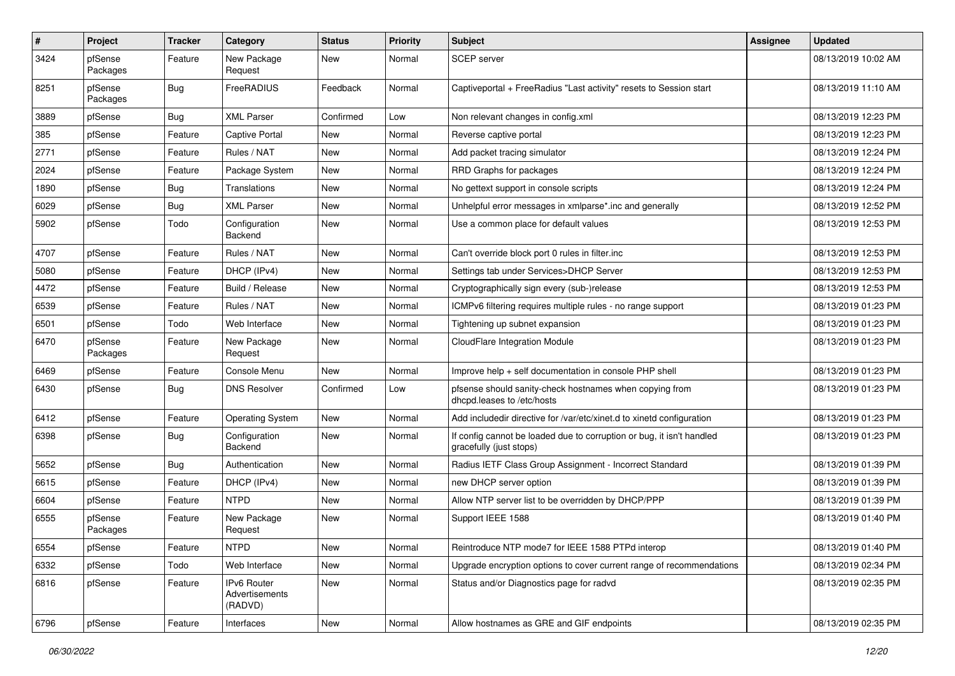| $\sharp$ | Project             | <b>Tracker</b> | Category                                 | <b>Status</b> | <b>Priority</b> | Subject                                                                                          | Assignee | <b>Updated</b>      |
|----------|---------------------|----------------|------------------------------------------|---------------|-----------------|--------------------------------------------------------------------------------------------------|----------|---------------------|
| 3424     | pfSense<br>Packages | Feature        | New Package<br>Request                   | New           | Normal          | SCEP server                                                                                      |          | 08/13/2019 10:02 AM |
| 8251     | pfSense<br>Packages | <b>Bug</b>     | FreeRADIUS                               | Feedback      | Normal          | Captiveportal + FreeRadius "Last activity" resets to Session start                               |          | 08/13/2019 11:10 AM |
| 3889     | pfSense             | <b>Bug</b>     | <b>XML Parser</b>                        | Confirmed     | Low             | Non relevant changes in config.xml                                                               |          | 08/13/2019 12:23 PM |
| 385      | pfSense             | Feature        | Captive Portal                           | <b>New</b>    | Normal          | Reverse captive portal                                                                           |          | 08/13/2019 12:23 PM |
| 2771     | pfSense             | Feature        | Rules / NAT                              | <b>New</b>    | Normal          | Add packet tracing simulator                                                                     |          | 08/13/2019 12:24 PM |
| 2024     | pfSense             | Feature        | Package System                           | New           | Normal          | RRD Graphs for packages                                                                          |          | 08/13/2019 12:24 PM |
| 1890     | pfSense             | <b>Bug</b>     | Translations                             | <b>New</b>    | Normal          | No gettext support in console scripts                                                            |          | 08/13/2019 12:24 PM |
| 6029     | pfSense             | Bug            | <b>XML Parser</b>                        | <b>New</b>    | Normal          | Unhelpful error messages in xmlparse*.inc and generally                                          |          | 08/13/2019 12:52 PM |
| 5902     | pfSense             | Todo           | Configuration<br>Backend                 | New           | Normal          | Use a common place for default values                                                            |          | 08/13/2019 12:53 PM |
| 4707     | pfSense             | Feature        | Rules / NAT                              | <b>New</b>    | Normal          | Can't override block port 0 rules in filter.inc                                                  |          | 08/13/2019 12:53 PM |
| 5080     | pfSense             | Feature        | DHCP (IPv4)                              | New           | Normal          | Settings tab under Services>DHCP Server                                                          |          | 08/13/2019 12:53 PM |
| 4472     | pfSense             | Feature        | Build / Release                          | New           | Normal          | Cryptographically sign every (sub-)release                                                       |          | 08/13/2019 12:53 PM |
| 6539     | pfSense             | Feature        | Rules / NAT                              | New           | Normal          | ICMPv6 filtering requires multiple rules - no range support                                      |          | 08/13/2019 01:23 PM |
| 6501     | pfSense             | Todo           | Web Interface                            | <b>New</b>    | Normal          | Tightening up subnet expansion                                                                   |          | 08/13/2019 01:23 PM |
| 6470     | pfSense<br>Packages | Feature        | New Package<br>Request                   | <b>New</b>    | Normal          | CloudFlare Integration Module                                                                    |          | 08/13/2019 01:23 PM |
| 6469     | pfSense             | Feature        | Console Menu                             | New           | Normal          | Improve help + self documentation in console PHP shell                                           |          | 08/13/2019 01:23 PM |
| 6430     | pfSense             | Bug            | <b>DNS Resolver</b>                      | Confirmed     | Low             | pfsense should sanity-check hostnames when copying from<br>dhcpd.leases to /etc/hosts            |          | 08/13/2019 01:23 PM |
| 6412     | pfSense             | Feature        | <b>Operating System</b>                  | New           | Normal          | Add includedir directive for /var/etc/xinet.d to xinetd configuration                            |          | 08/13/2019 01:23 PM |
| 6398     | pfSense             | Bug            | Configuration<br>Backend                 | New           | Normal          | If config cannot be loaded due to corruption or bug, it isn't handled<br>gracefully (just stops) |          | 08/13/2019 01:23 PM |
| 5652     | pfSense             | Bug            | Authentication                           | <b>New</b>    | Normal          | Radius IETF Class Group Assignment - Incorrect Standard                                          |          | 08/13/2019 01:39 PM |
| 6615     | pfSense             | Feature        | DHCP (IPv4)                              | New           | Normal          | new DHCP server option                                                                           |          | 08/13/2019 01:39 PM |
| 6604     | pfSense             | Feature        | <b>NTPD</b>                              | New           | Normal          | Allow NTP server list to be overridden by DHCP/PPP                                               |          | 08/13/2019 01:39 PM |
| 6555     | pfSense<br>Packages | Feature        | New Package<br>Request                   | New           | Normal          | Support IEEE 1588                                                                                |          | 08/13/2019 01:40 PM |
| 6554     | pfSense             | Feature        | <b>NTPD</b>                              | New           | Normal          | Reintroduce NTP mode7 for IEEE 1588 PTPd interop                                                 |          | 08/13/2019 01:40 PM |
| 6332     | pfSense             | Todo           | Web Interface                            | New           | Normal          | Upgrade encryption options to cover current range of recommendations                             |          | 08/13/2019 02:34 PM |
| 6816     | pfSense             | Feature        | IPv6 Router<br>Advertisements<br>(RADVD) | New           | Normal          | Status and/or Diagnostics page for radvd                                                         |          | 08/13/2019 02:35 PM |
| 6796     | pfSense             | Feature        | Interfaces                               | New           | Normal          | Allow hostnames as GRE and GIF endpoints                                                         |          | 08/13/2019 02:35 PM |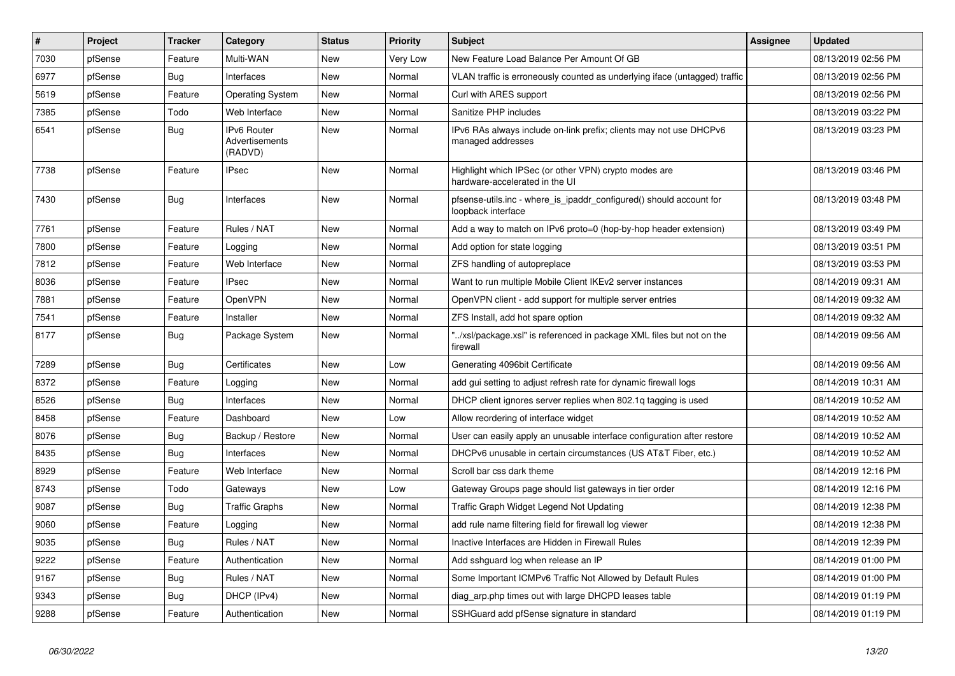| #    | <b>Project</b> | <b>Tracker</b> | Category                                        | <b>Status</b> | Priority | <b>Subject</b>                                                                            | <b>Assignee</b> | <b>Updated</b>      |
|------|----------------|----------------|-------------------------------------------------|---------------|----------|-------------------------------------------------------------------------------------------|-----------------|---------------------|
| 7030 | pfSense        | Feature        | Multi-WAN                                       | <b>New</b>    | Very Low | New Feature Load Balance Per Amount Of GB                                                 |                 | 08/13/2019 02:56 PM |
| 6977 | pfSense        | <b>Bug</b>     | Interfaces                                      | <b>New</b>    | Normal   | VLAN traffic is erroneously counted as underlying iface (untagged) traffic                |                 | 08/13/2019 02:56 PM |
| 5619 | pfSense        | Feature        | <b>Operating System</b>                         | New           | Normal   | Curl with ARES support                                                                    |                 | 08/13/2019 02:56 PM |
| 7385 | pfSense        | Todo           | Web Interface                                   | <b>New</b>    | Normal   | Sanitize PHP includes                                                                     |                 | 08/13/2019 03:22 PM |
| 6541 | pfSense        | <b>Bug</b>     | <b>IPv6 Router</b><br>Advertisements<br>(RADVD) | <b>New</b>    | Normal   | IPv6 RAs always include on-link prefix; clients may not use DHCPv6<br>managed addresses   |                 | 08/13/2019 03:23 PM |
| 7738 | pfSense        | Feature        | IPsec                                           | New           | Normal   | Highlight which IPSec (or other VPN) crypto modes are<br>hardware-accelerated in the UI   |                 | 08/13/2019 03:46 PM |
| 7430 | pfSense        | <b>Bug</b>     | Interfaces                                      | New           | Normal   | pfsense-utils.inc - where is ipaddr configured() should account for<br>loopback interface |                 | 08/13/2019 03:48 PM |
| 7761 | pfSense        | Feature        | Rules / NAT                                     | <b>New</b>    | Normal   | Add a way to match on IPv6 proto=0 (hop-by-hop header extension)                          |                 | 08/13/2019 03:49 PM |
| 7800 | pfSense        | Feature        | Logging                                         | New           | Normal   | Add option for state logging                                                              |                 | 08/13/2019 03:51 PM |
| 7812 | pfSense        | Feature        | Web Interface                                   | New           | Normal   | ZFS handling of autopreplace                                                              |                 | 08/13/2019 03:53 PM |
| 8036 | pfSense        | Feature        | <b>IPsec</b>                                    | New           | Normal   | Want to run multiple Mobile Client IKEv2 server instances                                 |                 | 08/14/2019 09:31 AM |
| 7881 | pfSense        | Feature        | OpenVPN                                         | New           | Normal   | OpenVPN client - add support for multiple server entries                                  |                 | 08/14/2019 09:32 AM |
| 7541 | pfSense        | Feature        | Installer                                       | New           | Normal   | ZFS Install, add hot spare option                                                         |                 | 08/14/2019 09:32 AM |
| 8177 | pfSense        | <b>Bug</b>     | Package System                                  | New           | Normal   | /xsl/package.xsl" is referenced in package XML files but not on the<br>firewall           |                 | 08/14/2019 09:56 AM |
| 7289 | pfSense        | Bug            | Certificates                                    | New           | Low      | Generating 4096bit Certificate                                                            |                 | 08/14/2019 09:56 AM |
| 8372 | pfSense        | Feature        | Logging                                         | New           | Normal   | add gui setting to adjust refresh rate for dynamic firewall logs                          |                 | 08/14/2019 10:31 AM |
| 8526 | pfSense        | Bug            | Interfaces                                      | New           | Normal   | DHCP client ignores server replies when 802.1q tagging is used                            |                 | 08/14/2019 10:52 AM |
| 8458 | pfSense        | Feature        | Dashboard                                       | New           | Low      | Allow reordering of interface widget                                                      |                 | 08/14/2019 10:52 AM |
| 8076 | pfSense        | <b>Bug</b>     | Backup / Restore                                | New           | Normal   | User can easily apply an unusable interface configuration after restore                   |                 | 08/14/2019 10:52 AM |
| 8435 | pfSense        | Bug            | Interfaces                                      | New           | Normal   | DHCPv6 unusable in certain circumstances (US AT&T Fiber, etc.)                            |                 | 08/14/2019 10:52 AM |
| 8929 | pfSense        | Feature        | Web Interface                                   | New           | Normal   | Scroll bar css dark theme                                                                 |                 | 08/14/2019 12:16 PM |
| 8743 | pfSense        | Todo           | Gateways                                        | New           | Low      | Gateway Groups page should list gateways in tier order                                    |                 | 08/14/2019 12:16 PM |
| 9087 | pfSense        | <b>Bug</b>     | <b>Traffic Graphs</b>                           | New           | Normal   | Traffic Graph Widget Legend Not Updating                                                  |                 | 08/14/2019 12:38 PM |
| 9060 | pfSense        | Feature        | Logging                                         | New           | Normal   | add rule name filtering field for firewall log viewer                                     |                 | 08/14/2019 12:38 PM |
| 9035 | pfSense        | Bug            | Rules / NAT                                     | New           | Normal   | Inactive Interfaces are Hidden in Firewall Rules                                          |                 | 08/14/2019 12:39 PM |
| 9222 | pfSense        | Feature        | Authentication                                  | New           | Normal   | Add sshguard log when release an IP                                                       |                 | 08/14/2019 01:00 PM |
| 9167 | pfSense        | <b>Bug</b>     | Rules / NAT                                     | <b>New</b>    | Normal   | Some Important ICMPv6 Traffic Not Allowed by Default Rules                                |                 | 08/14/2019 01:00 PM |
| 9343 | pfSense        | <b>Bug</b>     | DHCP (IPv4)                                     | New           | Normal   | diag arp.php times out with large DHCPD leases table                                      |                 | 08/14/2019 01:19 PM |
| 9288 | pfSense        | Feature        | Authentication                                  | New           | Normal   | SSHGuard add pfSense signature in standard                                                |                 | 08/14/2019 01:19 PM |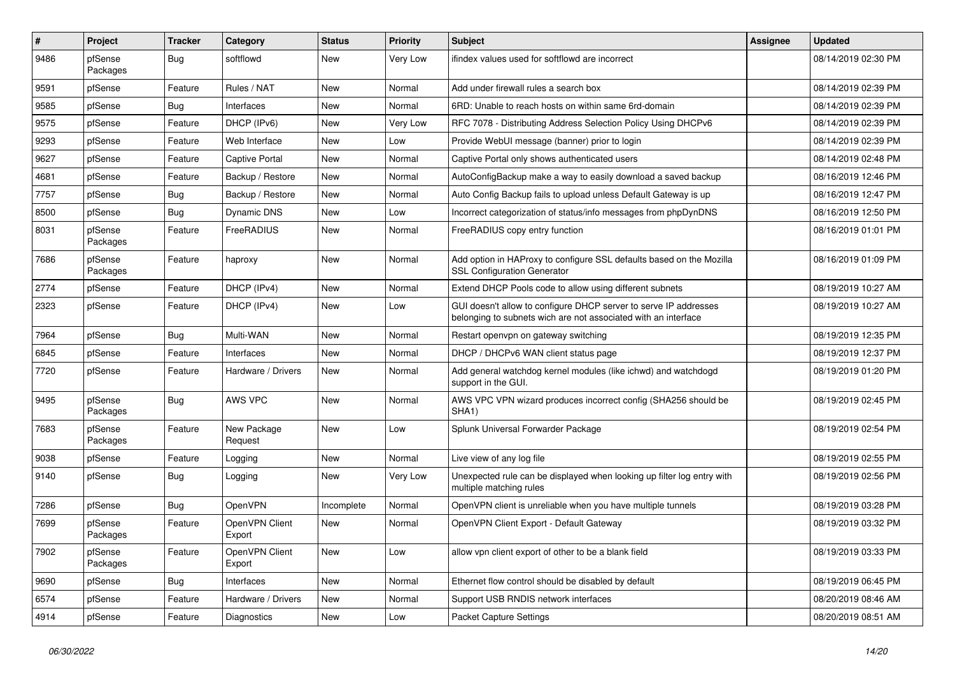| #    | Project             | <b>Tracker</b> | Category                 | <b>Status</b> | <b>Priority</b> | <b>Subject</b>                                                                                                                     | Assignee | <b>Updated</b>      |
|------|---------------------|----------------|--------------------------|---------------|-----------------|------------------------------------------------------------------------------------------------------------------------------------|----------|---------------------|
| 9486 | pfSense<br>Packages | Bug            | softflowd                | New           | Very Low        | ifindex values used for softflowd are incorrect                                                                                    |          | 08/14/2019 02:30 PM |
| 9591 | pfSense             | Feature        | Rules / NAT              | New           | Normal          | Add under firewall rules a search box                                                                                              |          | 08/14/2019 02:39 PM |
| 9585 | pfSense             | Bug            | Interfaces               | New           | Normal          | 6RD: Unable to reach hosts on within same 6rd-domain                                                                               |          | 08/14/2019 02:39 PM |
| 9575 | pfSense             | Feature        | DHCP (IPv6)              | New           | Very Low        | RFC 7078 - Distributing Address Selection Policy Using DHCPv6                                                                      |          | 08/14/2019 02:39 PM |
| 9293 | pfSense             | Feature        | Web Interface            | New           | Low             | Provide WebUI message (banner) prior to login                                                                                      |          | 08/14/2019 02:39 PM |
| 9627 | pfSense             | Feature        | Captive Portal           | New           | Normal          | Captive Portal only shows authenticated users                                                                                      |          | 08/14/2019 02:48 PM |
| 4681 | pfSense             | Feature        | Backup / Restore         | New           | Normal          | AutoConfigBackup make a way to easily download a saved backup                                                                      |          | 08/16/2019 12:46 PM |
| 7757 | pfSense             | Bug            | Backup / Restore         | New           | Normal          | Auto Config Backup fails to upload unless Default Gateway is up                                                                    |          | 08/16/2019 12:47 PM |
| 8500 | pfSense             | <b>Bug</b>     | Dynamic DNS              | New           | Low             | Incorrect categorization of status/info messages from phpDynDNS                                                                    |          | 08/16/2019 12:50 PM |
| 8031 | pfSense<br>Packages | Feature        | FreeRADIUS               | New           | Normal          | FreeRADIUS copy entry function                                                                                                     |          | 08/16/2019 01:01 PM |
| 7686 | pfSense<br>Packages | Feature        | haproxy                  | New           | Normal          | Add option in HAProxy to configure SSL defaults based on the Mozilla<br><b>SSL Configuration Generator</b>                         |          | 08/16/2019 01:09 PM |
| 2774 | pfSense             | Feature        | DHCP (IPv4)              | New           | Normal          | Extend DHCP Pools code to allow using different subnets                                                                            |          | 08/19/2019 10:27 AM |
| 2323 | pfSense             | Feature        | DHCP (IPv4)              | New           | Low             | GUI doesn't allow to configure DHCP server to serve IP addresses<br>belonging to subnets wich are not associated with an interface |          | 08/19/2019 10:27 AM |
| 7964 | pfSense             | <b>Bug</b>     | Multi-WAN                | New           | Normal          | Restart openvpn on gateway switching                                                                                               |          | 08/19/2019 12:35 PM |
| 6845 | pfSense             | Feature        | Interfaces               | New           | Normal          | DHCP / DHCPv6 WAN client status page                                                                                               |          | 08/19/2019 12:37 PM |
| 7720 | pfSense             | Feature        | Hardware / Drivers       | New           | Normal          | Add general watchdog kernel modules (like ichwd) and watchdogd<br>support in the GUI.                                              |          | 08/19/2019 01:20 PM |
| 9495 | pfSense<br>Packages | <b>Bug</b>     | AWS VPC                  | New           | Normal          | AWS VPC VPN wizard produces incorrect config (SHA256 should be<br>SHA <sub>1</sub> )                                               |          | 08/19/2019 02:45 PM |
| 7683 | pfSense<br>Packages | Feature        | New Package<br>Request   | New           | Low             | Splunk Universal Forwarder Package                                                                                                 |          | 08/19/2019 02:54 PM |
| 9038 | pfSense             | Feature        | Logging                  | New           | Normal          | Live view of any log file                                                                                                          |          | 08/19/2019 02:55 PM |
| 9140 | pfSense             | Bug            | Logging                  | New           | Very Low        | Unexpected rule can be displayed when looking up filter log entry with<br>multiple matching rules                                  |          | 08/19/2019 02:56 PM |
| 7286 | pfSense             | Bug            | OpenVPN                  | Incomplete    | Normal          | OpenVPN client is unreliable when you have multiple tunnels                                                                        |          | 08/19/2019 03:28 PM |
| 7699 | pfSense<br>Packages | Feature        | OpenVPN Client<br>Export | New           | Normal          | OpenVPN Client Export - Default Gateway                                                                                            |          | 08/19/2019 03:32 PM |
| 7902 | pfSense<br>Packages | Feature        | OpenVPN Client<br>Export | New           | Low             | allow vpn client export of other to be a blank field                                                                               |          | 08/19/2019 03:33 PM |
| 9690 | pfSense             | Bug            | Interfaces               | New           | Normal          | Ethernet flow control should be disabled by default                                                                                |          | 08/19/2019 06:45 PM |
| 6574 | pfSense             | Feature        | Hardware / Drivers       | New           | Normal          | Support USB RNDIS network interfaces                                                                                               |          | 08/20/2019 08:46 AM |
| 4914 | pfSense             | Feature        | Diagnostics              | New           | Low             | <b>Packet Capture Settings</b>                                                                                                     |          | 08/20/2019 08:51 AM |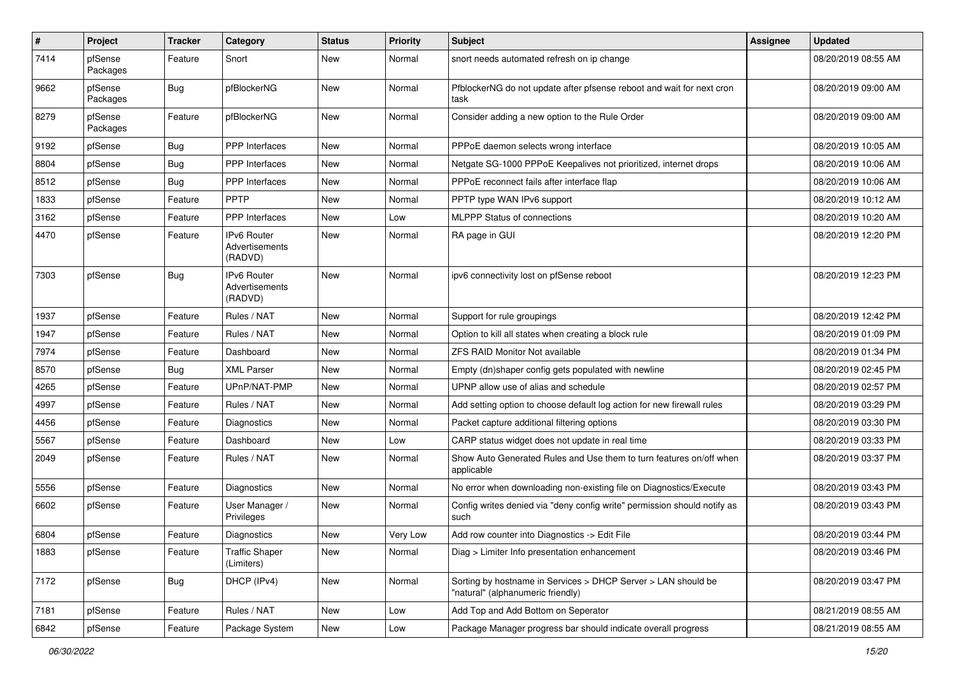| $\sharp$ | Project             | <b>Tracker</b> | Category                                        | <b>Status</b> | <b>Priority</b> | <b>Subject</b>                                                                                     | Assignee | <b>Updated</b>      |
|----------|---------------------|----------------|-------------------------------------------------|---------------|-----------------|----------------------------------------------------------------------------------------------------|----------|---------------------|
| 7414     | pfSense<br>Packages | Feature        | Snort                                           | New           | Normal          | snort needs automated refresh on ip change                                                         |          | 08/20/2019 08:55 AM |
| 9662     | pfSense<br>Packages | <b>Bug</b>     | pfBlockerNG                                     | New           | Normal          | PfblockerNG do not update after pfsense reboot and wait for next cron<br>task                      |          | 08/20/2019 09:00 AM |
| 8279     | pfSense<br>Packages | Feature        | pfBlockerNG                                     | <b>New</b>    | Normal          | Consider adding a new option to the Rule Order                                                     |          | 08/20/2019 09:00 AM |
| 9192     | pfSense             | <b>Bug</b>     | <b>PPP</b> Interfaces                           | <b>New</b>    | Normal          | PPPoE daemon selects wrong interface                                                               |          | 08/20/2019 10:05 AM |
| 8804     | pfSense             | <b>Bug</b>     | PPP Interfaces                                  | New           | Normal          | Netgate SG-1000 PPPoE Keepalives not prioritized, internet drops                                   |          | 08/20/2019 10:06 AM |
| 8512     | pfSense             | <b>Bug</b>     | PPP Interfaces                                  | <b>New</b>    | Normal          | PPPoE reconnect fails after interface flap                                                         |          | 08/20/2019 10:06 AM |
| 1833     | pfSense             | Feature        | <b>PPTP</b>                                     | <b>New</b>    | Normal          | PPTP type WAN IPv6 support                                                                         |          | 08/20/2019 10:12 AM |
| 3162     | pfSense             | Feature        | PPP Interfaces                                  | New           | Low             | <b>MLPPP Status of connections</b>                                                                 |          | 08/20/2019 10:20 AM |
| 4470     | pfSense             | Feature        | IPv6 Router<br>Advertisements<br>(RADVD)        | New           | Normal          | RA page in GUI                                                                                     |          | 08/20/2019 12:20 PM |
| 7303     | pfSense             | <b>Bug</b>     | <b>IPv6 Router</b><br>Advertisements<br>(RADVD) | <b>New</b>    | Normal          | ipv6 connectivity lost on pfSense reboot                                                           |          | 08/20/2019 12:23 PM |
| 1937     | pfSense             | Feature        | Rules / NAT                                     | <b>New</b>    | Normal          | Support for rule groupings                                                                         |          | 08/20/2019 12:42 PM |
| 1947     | pfSense             | Feature        | Rules / NAT                                     | New           | Normal          | Option to kill all states when creating a block rule                                               |          | 08/20/2019 01:09 PM |
| 7974     | pfSense             | Feature        | Dashboard                                       | New           | Normal          | <b>ZFS RAID Monitor Not available</b>                                                              |          | 08/20/2019 01:34 PM |
| 8570     | pfSense             | Bug            | <b>XML Parser</b>                               | <b>New</b>    | Normal          | Empty (dn)shaper config gets populated with newline                                                |          | 08/20/2019 02:45 PM |
| 4265     | pfSense             | Feature        | UPnP/NAT-PMP                                    | New           | Normal          | UPNP allow use of alias and schedule                                                               |          | 08/20/2019 02:57 PM |
| 4997     | pfSense             | Feature        | Rules / NAT                                     | New           | Normal          | Add setting option to choose default log action for new firewall rules                             |          | 08/20/2019 03:29 PM |
| 4456     | pfSense             | Feature        | Diagnostics                                     | New           | Normal          | Packet capture additional filtering options                                                        |          | 08/20/2019 03:30 PM |
| 5567     | pfSense             | Feature        | Dashboard                                       | New           | Low             | CARP status widget does not update in real time                                                    |          | 08/20/2019 03:33 PM |
| 2049     | pfSense             | Feature        | Rules / NAT                                     | New           | Normal          | Show Auto Generated Rules and Use them to turn features on/off when<br>applicable                  |          | 08/20/2019 03:37 PM |
| 5556     | pfSense             | Feature        | <b>Diagnostics</b>                              | <b>New</b>    | Normal          | No error when downloading non-existing file on Diagnostics/Execute                                 |          | 08/20/2019 03:43 PM |
| 6602     | pfSense             | Feature        | User Manager /<br>Privileges                    | New           | Normal          | Config writes denied via "deny config write" permission should notify as<br>such                   |          | 08/20/2019 03:43 PM |
| 6804     | pfSense             | Feature        | Diagnostics                                     | New           | Very Low        | Add row counter into Diagnostics -> Edit File                                                      |          | 08/20/2019 03:44 PM |
| 1883     | pfSense             | Feature        | <b>Traffic Shaper</b><br>(Limiters)             | New           | Normal          | Diag > Limiter Info presentation enhancement                                                       |          | 08/20/2019 03:46 PM |
| 7172     | pfSense             | Bug            | DHCP (IPv4)                                     | New           | Normal          | Sorting by hostname in Services > DHCP Server > LAN should be<br>"natural" (alphanumeric friendly) |          | 08/20/2019 03:47 PM |
| 7181     | pfSense             | Feature        | Rules / NAT                                     | New           | Low             | Add Top and Add Bottom on Seperator                                                                |          | 08/21/2019 08:55 AM |
| 6842     | pfSense             | Feature        | Package System                                  | New           | Low             | Package Manager progress bar should indicate overall progress                                      |          | 08/21/2019 08:55 AM |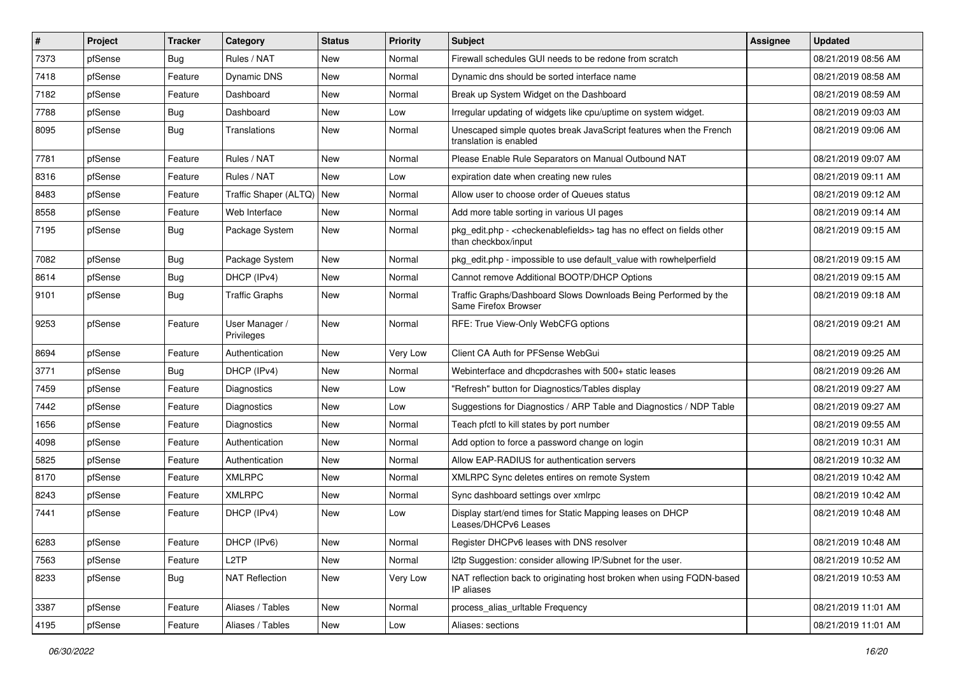| $\vert$ # | Project | <b>Tracker</b> | Category                     | <b>Status</b> | <b>Priority</b> | <b>Subject</b>                                                                                                   | <b>Assignee</b> | <b>Updated</b>      |
|-----------|---------|----------------|------------------------------|---------------|-----------------|------------------------------------------------------------------------------------------------------------------|-----------------|---------------------|
| 7373      | pfSense | <b>Bug</b>     | Rules / NAT                  | New           | Normal          | Firewall schedules GUI needs to be redone from scratch                                                           |                 | 08/21/2019 08:56 AM |
| 7418      | pfSense | Feature        | Dynamic DNS                  | <b>New</b>    | Normal          | Dynamic dns should be sorted interface name                                                                      |                 | 08/21/2019 08:58 AM |
| 7182      | pfSense | Feature        | Dashboard                    | New           | Normal          | Break up System Widget on the Dashboard                                                                          |                 | 08/21/2019 08:59 AM |
| 7788      | pfSense | Bug            | Dashboard                    | New           | Low             | Irregular updating of widgets like cpu/uptime on system widget.                                                  |                 | 08/21/2019 09:03 AM |
| 8095      | pfSense | <b>Bug</b>     | Translations                 | <b>New</b>    | Normal          | Unescaped simple quotes break JavaScript features when the French<br>translation is enabled                      |                 | 08/21/2019 09:06 AM |
| 7781      | pfSense | Feature        | Rules / NAT                  | <b>New</b>    | Normal          | Please Enable Rule Separators on Manual Outbound NAT                                                             |                 | 08/21/2019 09:07 AM |
| 8316      | pfSense | Feature        | Rules / NAT                  | New           | Low             | expiration date when creating new rules                                                                          |                 | 08/21/2019 09:11 AM |
| 8483      | pfSense | Feature        | Traffic Shaper (ALTQ)        | <b>New</b>    | Normal          | Allow user to choose order of Queues status                                                                      |                 | 08/21/2019 09:12 AM |
| 8558      | pfSense | Feature        | Web Interface                | <b>New</b>    | Normal          | Add more table sorting in various UI pages                                                                       |                 | 08/21/2019 09:14 AM |
| 7195      | pfSense | Bug            | Package System               | <b>New</b>    | Normal          | pkg_edit.php - <checkenablefields> tag has no effect on fields other<br/>than checkbox/input</checkenablefields> |                 | 08/21/2019 09:15 AM |
| 7082      | pfSense | <b>Bug</b>     | Package System               | <b>New</b>    | Normal          | pkg_edit.php - impossible to use default_value with rowhelperfield                                               |                 | 08/21/2019 09:15 AM |
| 8614      | pfSense | <b>Bug</b>     | DHCP (IPv4)                  | New           | Normal          | Cannot remove Additional BOOTP/DHCP Options                                                                      |                 | 08/21/2019 09:15 AM |
| 9101      | pfSense | Bug            | <b>Traffic Graphs</b>        | New           | Normal          | Traffic Graphs/Dashboard Slows Downloads Being Performed by the<br>Same Firefox Browser                          |                 | 08/21/2019 09:18 AM |
| 9253      | pfSense | Feature        | User Manager /<br>Privileges | <b>New</b>    | Normal          | RFE: True View-Only WebCFG options                                                                               |                 | 08/21/2019 09:21 AM |
| 8694      | pfSense | Feature        | Authentication               | New           | Very Low        | Client CA Auth for PFSense WebGui                                                                                |                 | 08/21/2019 09:25 AM |
| 3771      | pfSense | Bug            | DHCP (IPv4)                  | New           | Normal          | Webinterface and dhcpdcrashes with 500+ static leases                                                            |                 | 08/21/2019 09:26 AM |
| 7459      | pfSense | Feature        | Diagnostics                  | <b>New</b>    | Low             | "Refresh" button for Diagnostics/Tables display                                                                  |                 | 08/21/2019 09:27 AM |
| 7442      | pfSense | Feature        | Diagnostics                  | New           | Low             | Suggestions for Diagnostics / ARP Table and Diagnostics / NDP Table                                              |                 | 08/21/2019 09:27 AM |
| 1656      | pfSense | Feature        | Diagnostics                  | <b>New</b>    | Normal          | Teach pfctl to kill states by port number                                                                        |                 | 08/21/2019 09:55 AM |
| 4098      | pfSense | Feature        | Authentication               | New           | Normal          | Add option to force a password change on login                                                                   |                 | 08/21/2019 10:31 AM |
| 5825      | pfSense | Feature        | Authentication               | New           | Normal          | Allow EAP-RADIUS for authentication servers                                                                      |                 | 08/21/2019 10:32 AM |
| 8170      | pfSense | Feature        | <b>XMLRPC</b>                | <b>New</b>    | Normal          | XMLRPC Sync deletes entires on remote System                                                                     |                 | 08/21/2019 10:42 AM |
| 8243      | pfSense | Feature        | <b>XMLRPC</b>                | New           | Normal          | Sync dashboard settings over xmlrpc                                                                              |                 | 08/21/2019 10:42 AM |
| 7441      | pfSense | Feature        | DHCP (IPv4)                  | New           | Low             | Display start/end times for Static Mapping leases on DHCP<br>Leases/DHCPv6 Leases                                |                 | 08/21/2019 10:48 AM |
| 6283      | pfSense | Feature        | DHCP (IPv6)                  | New           | Normal          | Register DHCPv6 leases with DNS resolver                                                                         |                 | 08/21/2019 10:48 AM |
| 7563      | pfSense | Feature        | L <sub>2</sub> TP            | New           | Normal          | I2tp Suggestion: consider allowing IP/Subnet for the user.                                                       |                 | 08/21/2019 10:52 AM |
| 8233      | pfSense | <b>Bug</b>     | <b>NAT Reflection</b>        | New           | Very Low        | NAT reflection back to originating host broken when using FQDN-based<br>IP aliases                               |                 | 08/21/2019 10:53 AM |
| 3387      | pfSense | Feature        | Aliases / Tables             | New           | Normal          | process_alias_urItable Frequency                                                                                 |                 | 08/21/2019 11:01 AM |
| 4195      | pfSense | Feature        | Aliases / Tables             | New           | Low             | Aliases: sections                                                                                                |                 | 08/21/2019 11:01 AM |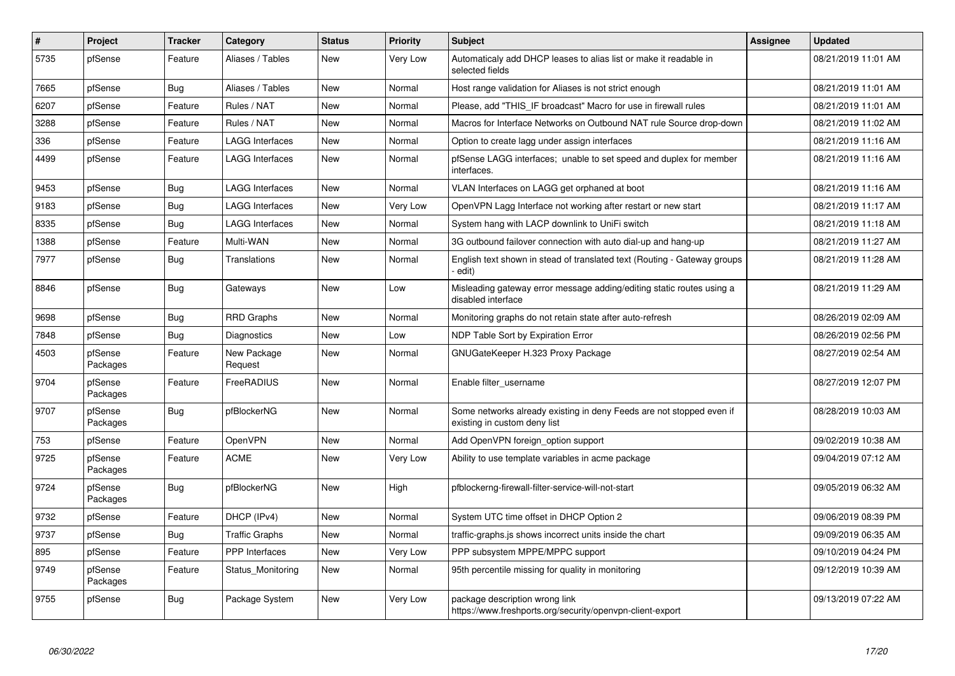| $\pmb{\#}$ | <b>Project</b>      | Tracker    | Category               | <b>Status</b> | <b>Priority</b> | <b>Subject</b>                                                                                       | Assignee | <b>Updated</b>      |
|------------|---------------------|------------|------------------------|---------------|-----------------|------------------------------------------------------------------------------------------------------|----------|---------------------|
| 5735       | pfSense             | Feature    | Aliases / Tables       | New           | Very Low        | Automaticaly add DHCP leases to alias list or make it readable in<br>selected fields                 |          | 08/21/2019 11:01 AM |
| 7665       | pfSense             | <b>Bug</b> | Aliases / Tables       | New           | Normal          | Host range validation for Aliases is not strict enough                                               |          | 08/21/2019 11:01 AM |
| 6207       | pfSense             | Feature    | Rules / NAT            | New           | Normal          | Please, add "THIS IF broadcast" Macro for use in firewall rules                                      |          | 08/21/2019 11:01 AM |
| 3288       | pfSense             | Feature    | Rules / NAT            | New           | Normal          | Macros for Interface Networks on Outbound NAT rule Source drop-down                                  |          | 08/21/2019 11:02 AM |
| 336        | pfSense             | Feature    | LAGG Interfaces        | New           | Normal          | Option to create lagg under assign interfaces                                                        |          | 08/21/2019 11:16 AM |
| 4499       | pfSense             | Feature    | LAGG Interfaces        | New           | Normal          | pfSense LAGG interfaces; unable to set speed and duplex for member<br>interfaces.                    |          | 08/21/2019 11:16 AM |
| 9453       | pfSense             | <b>Bug</b> | <b>LAGG Interfaces</b> | New           | Normal          | VLAN Interfaces on LAGG get orphaned at boot                                                         |          | 08/21/2019 11:16 AM |
| 9183       | pfSense             | Bug        | <b>LAGG Interfaces</b> | <b>New</b>    | Very Low        | OpenVPN Lagg Interface not working after restart or new start                                        |          | 08/21/2019 11:17 AM |
| 8335       | pfSense             | <b>Bug</b> | <b>LAGG Interfaces</b> | <b>New</b>    | Normal          | System hang with LACP downlink to UniFi switch                                                       |          | 08/21/2019 11:18 AM |
| 1388       | pfSense             | Feature    | Multi-WAN              | <b>New</b>    | Normal          | 3G outbound failover connection with auto dial-up and hang-up                                        |          | 08/21/2019 11:27 AM |
| 7977       | pfSense             | Bug        | Translations           | New           | Normal          | English text shown in stead of translated text (Routing - Gateway groups<br>edit)                    |          | 08/21/2019 11:28 AM |
| 8846       | pfSense             | <b>Bug</b> | Gateways               | <b>New</b>    | Low             | Misleading gateway error message adding/editing static routes using a<br>disabled interface          |          | 08/21/2019 11:29 AM |
| 9698       | pfSense             | Bug        | <b>RRD Graphs</b>      | New           | Normal          | Monitoring graphs do not retain state after auto-refresh                                             |          | 08/26/2019 02:09 AM |
| 7848       | pfSense             | <b>Bug</b> | Diagnostics            | New           | Low             | NDP Table Sort by Expiration Error                                                                   |          | 08/26/2019 02:56 PM |
| 4503       | pfSense<br>Packages | Feature    | New Package<br>Request | New           | Normal          | GNUGateKeeper H.323 Proxy Package                                                                    |          | 08/27/2019 02:54 AM |
| 9704       | pfSense<br>Packages | Feature    | FreeRADIUS             | New           | Normal          | Enable filter username                                                                               |          | 08/27/2019 12:07 PM |
| 9707       | pfSense<br>Packages | <b>Bug</b> | pfBlockerNG            | New           | Normal          | Some networks already existing in deny Feeds are not stopped even if<br>existing in custom deny list |          | 08/28/2019 10:03 AM |
| 753        | pfSense             | Feature    | OpenVPN                | New           | Normal          | Add OpenVPN foreign_option support                                                                   |          | 09/02/2019 10:38 AM |
| 9725       | pfSense<br>Packages | Feature    | <b>ACME</b>            | New           | Very Low        | Ability to use template variables in acme package                                                    |          | 09/04/2019 07:12 AM |
| 9724       | pfSense<br>Packages | <b>Bug</b> | pfBlockerNG            | New           | High            | pfblockerng-firewall-filter-service-will-not-start                                                   |          | 09/05/2019 06:32 AM |
| 9732       | pfSense             | Feature    | DHCP (IPv4)            | <b>New</b>    | Normal          | System UTC time offset in DHCP Option 2                                                              |          | 09/06/2019 08:39 PM |
| 9737       | pfSense             | Bug        | Traffic Graphs         | New           | Normal          | traffic-graphs.js shows incorrect units inside the chart                                             |          | 09/09/2019 06:35 AM |
| 895        | pfSense             | Feature    | <b>PPP</b> Interfaces  | New           | Very Low        | PPP subsystem MPPE/MPPC support                                                                      |          | 09/10/2019 04:24 PM |
| 9749       | pfSense<br>Packages | Feature    | Status_Monitoring      | <b>New</b>    | Normal          | 95th percentile missing for quality in monitoring                                                    |          | 09/12/2019 10:39 AM |
| 9755       | pfSense             | <b>Bug</b> | Package System         | New           | Very Low        | package description wrong link<br>https://www.freshports.org/security/openvpn-client-export          |          | 09/13/2019 07:22 AM |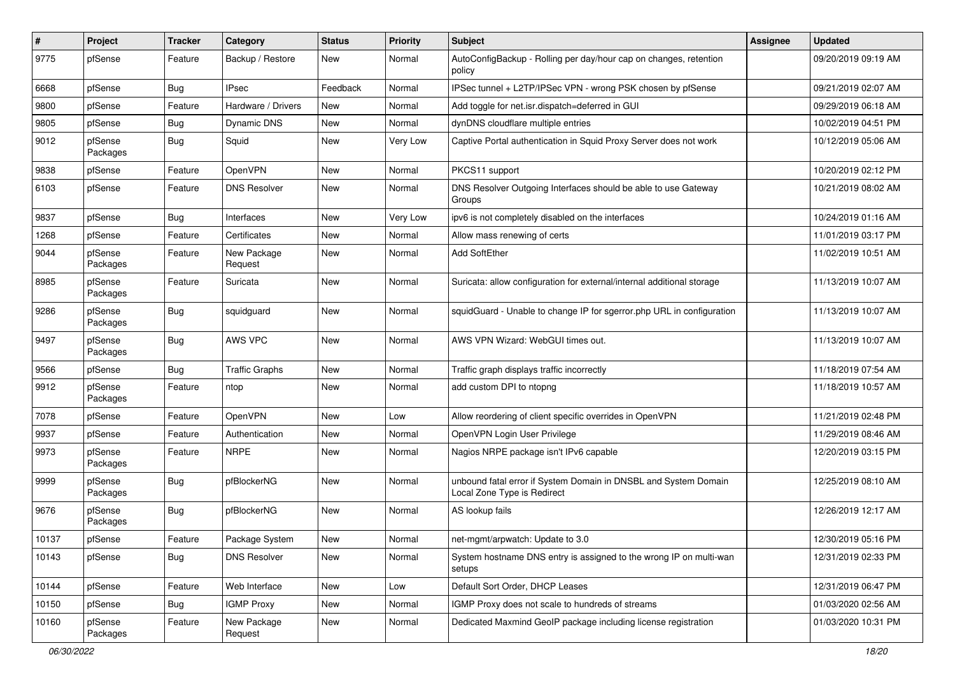| $\sharp$ | Project             | <b>Tracker</b> | Category               | <b>Status</b> | <b>Priority</b> | Subject                                                                                        | <b>Assignee</b> | <b>Updated</b>      |
|----------|---------------------|----------------|------------------------|---------------|-----------------|------------------------------------------------------------------------------------------------|-----------------|---------------------|
| 9775     | pfSense             | Feature        | Backup / Restore       | New           | Normal          | AutoConfigBackup - Rolling per day/hour cap on changes, retention<br>policy                    |                 | 09/20/2019 09:19 AM |
| 6668     | pfSense             | Bug            | <b>IPsec</b>           | Feedback      | Normal          | IPSec tunnel + L2TP/IPSec VPN - wrong PSK chosen by pfSense                                    |                 | 09/21/2019 02:07 AM |
| 9800     | pfSense             | Feature        | Hardware / Drivers     | New           | Normal          | Add toggle for net.isr.dispatch=deferred in GUI                                                |                 | 09/29/2019 06:18 AM |
| 9805     | pfSense             | <b>Bug</b>     | Dynamic DNS            | <b>New</b>    | Normal          | dynDNS cloudflare multiple entries                                                             |                 | 10/02/2019 04:51 PM |
| 9012     | pfSense<br>Packages | Bug            | Squid                  | New           | Very Low        | Captive Portal authentication in Squid Proxy Server does not work                              |                 | 10/12/2019 05:06 AM |
| 9838     | pfSense             | Feature        | OpenVPN                | New           | Normal          | PKCS11 support                                                                                 |                 | 10/20/2019 02:12 PM |
| 6103     | pfSense             | Feature        | <b>DNS Resolver</b>    | New           | Normal          | DNS Resolver Outgoing Interfaces should be able to use Gateway<br>Groups                       |                 | 10/21/2019 08:02 AM |
| 9837     | pfSense             | <b>Bug</b>     | Interfaces             | New           | Very Low        | ipv6 is not completely disabled on the interfaces                                              |                 | 10/24/2019 01:16 AM |
| 1268     | pfSense             | Feature        | Certificates           | New           | Normal          | Allow mass renewing of certs                                                                   |                 | 11/01/2019 03:17 PM |
| 9044     | pfSense<br>Packages | Feature        | New Package<br>Request | <b>New</b>    | Normal          | Add SoftEther                                                                                  |                 | 11/02/2019 10:51 AM |
| 8985     | pfSense<br>Packages | Feature        | Suricata               | <b>New</b>    | Normal          | Suricata: allow configuration for external/internal additional storage                         |                 | 11/13/2019 10:07 AM |
| 9286     | pfSense<br>Packages | <b>Bug</b>     | squidguard             | <b>New</b>    | Normal          | squidGuard - Unable to change IP for sgerror.php URL in configuration                          |                 | 11/13/2019 10:07 AM |
| 9497     | pfSense<br>Packages | Bug            | AWS VPC                | <b>New</b>    | Normal          | AWS VPN Wizard: WebGUI times out.                                                              |                 | 11/13/2019 10:07 AM |
| 9566     | pfSense             | Bug            | <b>Traffic Graphs</b>  | <b>New</b>    | Normal          | Traffic graph displays traffic incorrectly                                                     |                 | 11/18/2019 07:54 AM |
| 9912     | pfSense<br>Packages | Feature        | ntop                   | New           | Normal          | add custom DPI to ntopng                                                                       |                 | 11/18/2019 10:57 AM |
| 7078     | pfSense             | Feature        | OpenVPN                | <b>New</b>    | Low             | Allow reordering of client specific overrides in OpenVPN                                       |                 | 11/21/2019 02:48 PM |
| 9937     | pfSense             | Feature        | Authentication         | New           | Normal          | OpenVPN Login User Privilege                                                                   |                 | 11/29/2019 08:46 AM |
| 9973     | pfSense<br>Packages | Feature        | <b>NRPE</b>            | New           | Normal          | Nagios NRPE package isn't IPv6 capable                                                         |                 | 12/20/2019 03:15 PM |
| 9999     | pfSense<br>Packages | <b>Bug</b>     | pfBlockerNG            | New           | Normal          | unbound fatal error if System Domain in DNSBL and System Domain<br>Local Zone Type is Redirect |                 | 12/25/2019 08:10 AM |
| 9676     | pfSense<br>Packages | Bug            | pfBlockerNG            | <b>New</b>    | Normal          | AS lookup fails                                                                                |                 | 12/26/2019 12:17 AM |
| 10137    | pfSense             | Feature        | Package System         | New           | Normal          | net-mgmt/arpwatch: Update to 3.0                                                               |                 | 12/30/2019 05:16 PM |
| 10143    | pfSense             | Bug            | <b>DNS Resolver</b>    | New           | Normal          | System hostname DNS entry is assigned to the wrong IP on multi-wan<br>setups                   |                 | 12/31/2019 02:33 PM |
| 10144    | pfSense             | Feature        | Web Interface          | New           | Low             | Default Sort Order, DHCP Leases                                                                |                 | 12/31/2019 06:47 PM |
| 10150    | pfSense             | <b>Bug</b>     | <b>IGMP Proxy</b>      | New           | Normal          | IGMP Proxy does not scale to hundreds of streams                                               |                 | 01/03/2020 02:56 AM |
| 10160    | pfSense<br>Packages | Feature        | New Package<br>Request | New           | Normal          | Dedicated Maxmind GeoIP package including license registration                                 |                 | 01/03/2020 10:31 PM |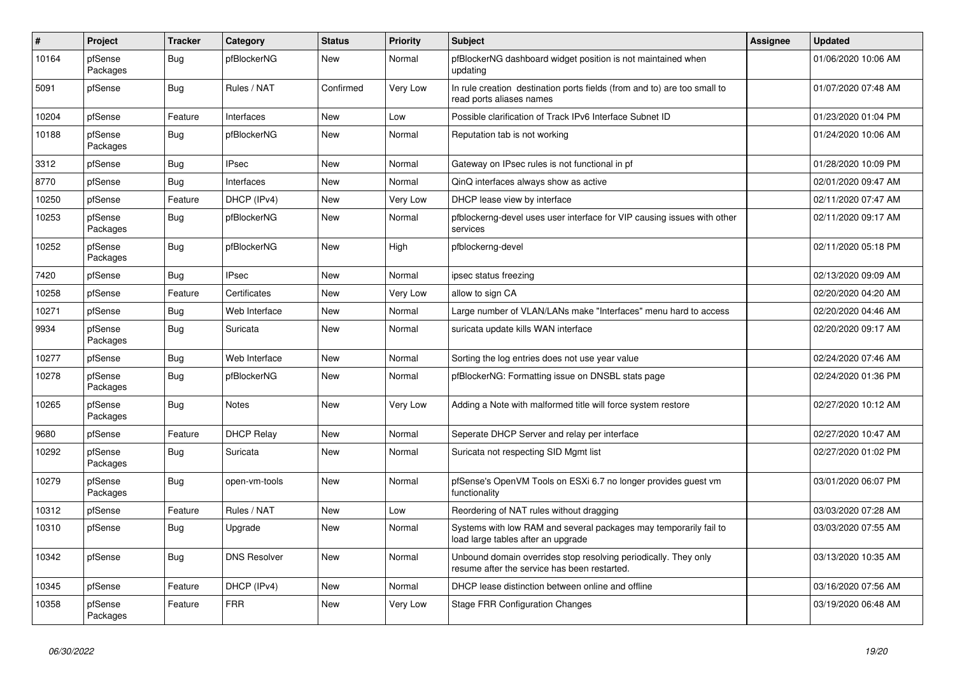| #     | Project             | <b>Tracker</b> | Category            | <b>Status</b> | Priority | <b>Subject</b>                                                                                                  | <b>Assignee</b> | <b>Updated</b>      |
|-------|---------------------|----------------|---------------------|---------------|----------|-----------------------------------------------------------------------------------------------------------------|-----------------|---------------------|
| 10164 | pfSense<br>Packages | <b>Bug</b>     | pfBlockerNG         | New           | Normal   | pfBlockerNG dashboard widget position is not maintained when<br>updating                                        |                 | 01/06/2020 10:06 AM |
| 5091  | pfSense             | <b>Bug</b>     | Rules / NAT         | Confirmed     | Very Low | In rule creation destination ports fields (from and to) are too small to<br>read ports aliases names            |                 | 01/07/2020 07:48 AM |
| 10204 | pfSense             | Feature        | Interfaces          | <b>New</b>    | Low      | Possible clarification of Track IPv6 Interface Subnet ID                                                        |                 | 01/23/2020 01:04 PM |
| 10188 | pfSense<br>Packages | Bug            | pfBlockerNG         | New           | Normal   | Reputation tab is not working                                                                                   |                 | 01/24/2020 10:06 AM |
| 3312  | pfSense             | <b>Bug</b>     | <b>IPsec</b>        | New           | Normal   | Gateway on IPsec rules is not functional in pf                                                                  |                 | 01/28/2020 10:09 PM |
| 8770  | pfSense             | Bug            | Interfaces          | New           | Normal   | QinQ interfaces always show as active                                                                           |                 | 02/01/2020 09:47 AM |
| 10250 | pfSense             | Feature        | DHCP (IPv4)         | New           | Very Low | DHCP lease view by interface                                                                                    |                 | 02/11/2020 07:47 AM |
| 10253 | pfSense<br>Packages | <b>Bug</b>     | pfBlockerNG         | New           | Normal   | pfblockerng-devel uses user interface for VIP causing issues with other<br>services                             |                 | 02/11/2020 09:17 AM |
| 10252 | pfSense<br>Packages | Bug            | pfBlockerNG         | New           | High     | pfblockerng-devel                                                                                               |                 | 02/11/2020 05:18 PM |
| 7420  | pfSense             | Bug            | <b>IPsec</b>        | <b>New</b>    | Normal   | ipsec status freezing                                                                                           |                 | 02/13/2020 09:09 AM |
| 10258 | pfSense             | Feature        | Certificates        | New           | Very Low | allow to sign CA                                                                                                |                 | 02/20/2020 04:20 AM |
| 10271 | pfSense             | <b>Bug</b>     | Web Interface       | New           | Normal   | Large number of VLAN/LANs make "Interfaces" menu hard to access                                                 |                 | 02/20/2020 04:46 AM |
| 9934  | pfSense<br>Packages | <b>Bug</b>     | Suricata            | New           | Normal   | suricata update kills WAN interface                                                                             |                 | 02/20/2020 09:17 AM |
| 10277 | pfSense             | Bug            | Web Interface       | New           | Normal   | Sorting the log entries does not use year value                                                                 |                 | 02/24/2020 07:46 AM |
| 10278 | pfSense<br>Packages | <b>Bug</b>     | pfBlockerNG         | New           | Normal   | pfBlockerNG: Formatting issue on DNSBL stats page                                                               |                 | 02/24/2020 01:36 PM |
| 10265 | pfSense<br>Packages | Bug            | Notes               | New           | Very Low | Adding a Note with malformed title will force system restore                                                    |                 | 02/27/2020 10:12 AM |
| 9680  | pfSense             | Feature        | <b>DHCP Relay</b>   | <b>New</b>    | Normal   | Seperate DHCP Server and relay per interface                                                                    |                 | 02/27/2020 10:47 AM |
| 10292 | pfSense<br>Packages | Bug            | Suricata            | New           | Normal   | Suricata not respecting SID Mgmt list                                                                           |                 | 02/27/2020 01:02 PM |
| 10279 | pfSense<br>Packages | <b>Bug</b>     | open-vm-tools       | <b>New</b>    | Normal   | pfSense's OpenVM Tools on ESXi 6.7 no longer provides guest vm<br>functionality                                 |                 | 03/01/2020 06:07 PM |
| 10312 | pfSense             | Feature        | Rules / NAT         | <b>New</b>    | Low      | Reordering of NAT rules without dragging                                                                        |                 | 03/03/2020 07:28 AM |
| 10310 | pfSense             | <b>Bug</b>     | Upgrade             | New           | Normal   | Systems with low RAM and several packages may temporarily fail to<br>load large tables after an upgrade         |                 | 03/03/2020 07:55 AM |
| 10342 | pfSense             | Bug            | <b>DNS Resolver</b> | New           | Normal   | Unbound domain overrides stop resolving periodically. They only<br>resume after the service has been restarted. |                 | 03/13/2020 10:35 AM |
| 10345 | pfSense             | Feature        | DHCP (IPv4)         | <b>New</b>    | Normal   | DHCP lease distinction between online and offline                                                               |                 | 03/16/2020 07:56 AM |
| 10358 | pfSense<br>Packages | Feature        | <b>FRR</b>          | <b>New</b>    | Very Low | Stage FRR Configuration Changes                                                                                 |                 | 03/19/2020 06:48 AM |